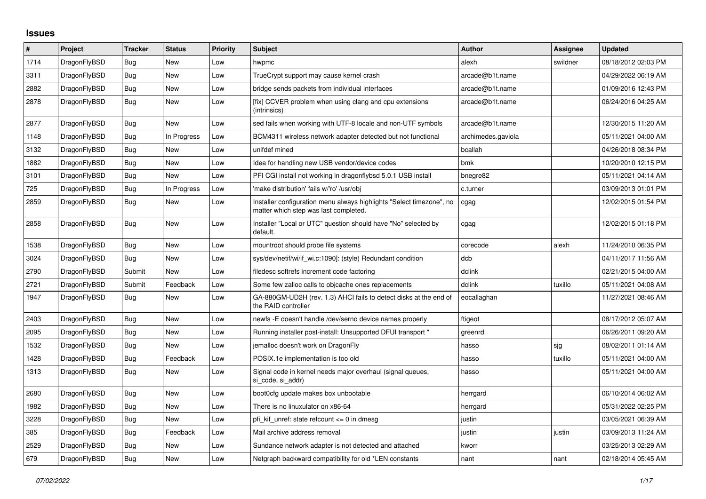## **Issues**

| $\vert$ # | Project      | <b>Tracker</b> | <b>Status</b> | <b>Priority</b> | <b>Subject</b>                                                                                                | <b>Author</b>      | Assignee | <b>Updated</b>      |
|-----------|--------------|----------------|---------------|-----------------|---------------------------------------------------------------------------------------------------------------|--------------------|----------|---------------------|
| 1714      | DragonFlyBSD | <b>Bug</b>     | <b>New</b>    | Low             | hwpmc                                                                                                         | alexh              | swildner | 08/18/2012 02:03 PM |
| 3311      | DragonFlyBSD | Bug            | <b>New</b>    | Low             | TrueCrypt support may cause kernel crash                                                                      | arcade@b1t.name    |          | 04/29/2022 06:19 AM |
| 2882      | DragonFlyBSD | Bug            | New           | Low             | bridge sends packets from individual interfaces                                                               | arcade@b1t.name    |          | 01/09/2016 12:43 PM |
| 2878      | DragonFlyBSD | <b>Bug</b>     | New           | Low             | [fix] CCVER problem when using clang and cpu extensions<br>(intrinsics)                                       | arcade@b1t.name    |          | 06/24/2016 04:25 AM |
| 2877      | DragonFlyBSD | Bug            | <b>New</b>    | Low             | sed fails when working with UTF-8 locale and non-UTF symbols                                                  | arcade@b1t.name    |          | 12/30/2015 11:20 AM |
| 1148      | DragonFlyBSD | Bug            | In Progress   | Low             | BCM4311 wireless network adapter detected but not functional                                                  | archimedes.gaviola |          | 05/11/2021 04:00 AM |
| 3132      | DragonFlyBSD | Bug            | <b>New</b>    | Low             | unifdef mined                                                                                                 | bcallah            |          | 04/26/2018 08:34 PM |
| 1882      | DragonFlyBSD | <b>Bug</b>     | New           | Low             | Idea for handling new USB vendor/device codes                                                                 | bmk                |          | 10/20/2010 12:15 PM |
| 3101      | DragonFlyBSD | Bug            | <b>New</b>    | Low             | PFI CGI install not working in dragonflybsd 5.0.1 USB install                                                 | bnegre82           |          | 05/11/2021 04:14 AM |
| 725       | DragonFlyBSD | <b>Bug</b>     | In Progress   | Low             | 'make distribution' fails w/'ro' /usr/obj                                                                     | c.turner           |          | 03/09/2013 01:01 PM |
| 2859      | DragonFlyBSD | Bug            | New           | Low             | Installer configuration menu always highlights "Select timezone", no<br>matter which step was last completed. | cgag               |          | 12/02/2015 01:54 PM |
| 2858      | DragonFlyBSD | Bug            | New           | Low             | Installer "Local or UTC" question should have "No" selected by<br>default.                                    | cgag               |          | 12/02/2015 01:18 PM |
| 1538      | DragonFlyBSD | Bug            | New           | Low             | mountroot should probe file systems                                                                           | corecode           | alexh    | 11/24/2010 06:35 PM |
| 3024      | DragonFlyBSD | <b>Bug</b>     | <b>New</b>    | Low             | sys/dev/netif/wi/if_wi.c:1090]: (style) Redundant condition                                                   | dcb                |          | 04/11/2017 11:56 AM |
| 2790      | DragonFlyBSD | Submit         | New           | Low             | filedesc softrefs increment code factoring                                                                    | dclink             |          | 02/21/2015 04:00 AM |
| 2721      | DragonFlyBSD | Submit         | Feedback      | Low             | Some few zalloc calls to objcache ones replacements                                                           | dclink             | tuxillo  | 05/11/2021 04:08 AM |
| 1947      | DragonFlyBSD | Bug            | New           | Low             | GA-880GM-UD2H (rev. 1.3) AHCI fails to detect disks at the end of<br>the RAID controller                      | eocallaghan        |          | 11/27/2021 08:46 AM |
| 2403      | DragonFlyBSD | Bug            | <b>New</b>    | Low             | newfs -E doesn't handle /dev/serno device names properly                                                      | ftigeot            |          | 08/17/2012 05:07 AM |
| 2095      | DragonFlyBSD | Bug            | <b>New</b>    | Low             | Running installer post-install: Unsupported DFUI transport "                                                  | greenrd            |          | 06/26/2011 09:20 AM |
| 1532      | DragonFlyBSD | <b>Bug</b>     | <b>New</b>    | Low             | jemalloc doesn't work on DragonFly                                                                            | hasso              | sjg      | 08/02/2011 01:14 AM |
| 1428      | DragonFlyBSD | Bug            | Feedback      | Low             | POSIX.1e implementation is too old                                                                            | hasso              | tuxillo  | 05/11/2021 04:00 AM |
| 1313      | DragonFlyBSD | <b>Bug</b>     | New           | Low             | Signal code in kernel needs major overhaul (signal queues,<br>si code, si addr)                               | hasso              |          | 05/11/2021 04:00 AM |
| 2680      | DragonFlyBSD | Bug            | <b>New</b>    | Low             | boot0cfg update makes box unbootable                                                                          | herrgard           |          | 06/10/2014 06:02 AM |
| 1982      | DragonFlyBSD | <b>Bug</b>     | New           | Low             | There is no linuxulator on x86-64                                                                             | herrgard           |          | 05/31/2022 02:25 PM |
| 3228      | DragonFlyBSD | Bug            | New           | Low             | pfi kif unref: state refcount $\leq 0$ in dmesg                                                               | justin             |          | 03/05/2021 06:39 AM |
| 385       | DragonFlyBSD | Bug            | Feedback      | Low             | Mail archive address removal                                                                                  | justin             | justin   | 03/09/2013 11:24 AM |
| 2529      | DragonFlyBSD | Bug            | <b>New</b>    | Low             | Sundance network adapter is not detected and attached                                                         | kworr              |          | 03/25/2013 02:29 AM |
| 679       | DragonFlyBSD | <b>Bug</b>     | <b>New</b>    | Low             | Netgraph backward compatibility for old *LEN constants                                                        | nant               | nant     | 02/18/2014 05:45 AM |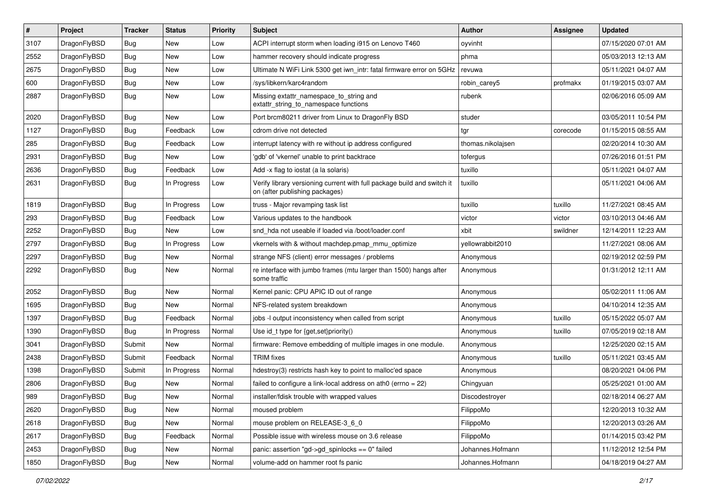| $\sharp$ | Project      | <b>Tracker</b> | <b>Status</b> | <b>Priority</b> | Subject                                                                                                   | Author            | Assignee | <b>Updated</b>      |
|----------|--------------|----------------|---------------|-----------------|-----------------------------------------------------------------------------------------------------------|-------------------|----------|---------------------|
| 3107     | DragonFlyBSD | <b>Bug</b>     | New           | Low             | ACPI interrupt storm when loading i915 on Lenovo T460                                                     | oyvinht           |          | 07/15/2020 07:01 AM |
| 2552     | DragonFlyBSD | Bug            | New           | Low             | hammer recovery should indicate progress                                                                  | phma              |          | 05/03/2013 12:13 AM |
| 2675     | DragonFlyBSD | Bug            | New           | Low             | Ultimate N WiFi Link 5300 get iwn_intr: fatal firmware error on 5GHz                                      | revuwa            |          | 05/11/2021 04:07 AM |
| 600      | DragonFlyBSD | Bug            | New           | Low             | /sys/libkern/karc4random                                                                                  | robin_carey5      | profmakx | 01/19/2015 03:07 AM |
| 2887     | DragonFlyBSD | Bug            | <b>New</b>    | Low             | Missing extattr_namespace_to_string and<br>extattr_string_to_namespace functions                          | rubenk            |          | 02/06/2016 05:09 AM |
| 2020     | DragonFlyBSD | Bug            | New           | Low             | Port brcm80211 driver from Linux to DragonFly BSD                                                         | studer            |          | 03/05/2011 10:54 PM |
| 1127     | DragonFlyBSD | Bug            | Feedback      | Low             | cdrom drive not detected                                                                                  | tgr               | corecode | 01/15/2015 08:55 AM |
| 285      | DragonFlyBSD | <b>Bug</b>     | Feedback      | Low             | interrupt latency with re without ip address configured                                                   | thomas.nikolajsen |          | 02/20/2014 10:30 AM |
| 2931     | DragonFlyBSD | Bug            | New           | Low             | 'gdb' of 'vkernel' unable to print backtrace                                                              | tofergus          |          | 07/26/2016 01:51 PM |
| 2636     | DragonFlyBSD | <b>Bug</b>     | Feedback      | Low             | Add -x flag to iostat (a la solaris)                                                                      | tuxillo           |          | 05/11/2021 04:07 AM |
| 2631     | DragonFlyBSD | <b>Bug</b>     | In Progress   | Low             | Verify library versioning current with full package build and switch it<br>on (after publishing packages) | tuxillo           |          | 05/11/2021 04:06 AM |
| 1819     | DragonFlyBSD | <b>Bug</b>     | In Progress   | Low             | truss - Major revamping task list                                                                         | tuxillo           | tuxillo  | 11/27/2021 08:45 AM |
| 293      | DragonFlyBSD | <b>Bug</b>     | Feedback      | Low             | Various updates to the handbook                                                                           | victor            | victor   | 03/10/2013 04:46 AM |
| 2252     | DragonFlyBSD | <b>Bug</b>     | New           | Low             | snd hda not useable if loaded via /boot/loader.conf                                                       | xbit              | swildner | 12/14/2011 12:23 AM |
| 2797     | DragonFlyBSD | <b>Bug</b>     | In Progress   | Low             | vkernels with & without machdep.pmap_mmu_optimize                                                         | yellowrabbit2010  |          | 11/27/2021 08:06 AM |
| 2297     | DragonFlyBSD | <b>Bug</b>     | <b>New</b>    | Normal          | strange NFS (client) error messages / problems                                                            | Anonymous         |          | 02/19/2012 02:59 PM |
| 2292     | DragonFlyBSD | <b>Bug</b>     | New           | Normal          | re interface with jumbo frames (mtu larger than 1500) hangs after<br>some traffic                         | Anonymous         |          | 01/31/2012 12:11 AM |
| 2052     | DragonFlyBSD | <b>Bug</b>     | <b>New</b>    | Normal          | Kernel panic: CPU APIC ID out of range                                                                    | Anonymous         |          | 05/02/2011 11:06 AM |
| 1695     | DragonFlyBSD | <b>Bug</b>     | New           | Normal          | NFS-related system breakdown                                                                              | Anonymous         |          | 04/10/2014 12:35 AM |
| 1397     | DragonFlyBSD | <b>Bug</b>     | Feedback      | Normal          | jobs -I output inconsistency when called from script                                                      | Anonymous         | tuxillo  | 05/15/2022 05:07 AM |
| 1390     | DragonFlyBSD | Bug            | In Progress   | Normal          | Use id_t type for {get,set}priority()                                                                     | Anonymous         | tuxillo  | 07/05/2019 02:18 AM |
| 3041     | DragonFlyBSD | Submit         | New           | Normal          | firmware: Remove embedding of multiple images in one module.                                              | Anonymous         |          | 12/25/2020 02:15 AM |
| 2438     | DragonFlyBSD | Submit         | Feedback      | Normal          | <b>TRIM</b> fixes                                                                                         | Anonymous         | tuxillo  | 05/11/2021 03:45 AM |
| 1398     | DragonFlyBSD | Submit         | In Progress   | Normal          | hdestroy(3) restricts hash key to point to malloc'ed space                                                | Anonymous         |          | 08/20/2021 04:06 PM |
| 2806     | DragonFlyBSD | <b>Bug</b>     | New           | Normal          | failed to configure a link-local address on ath0 (errno = 22)                                             | Chingyuan         |          | 05/25/2021 01:00 AM |
| 989      | DragonFlyBSD | Bug            | <b>New</b>    | Normal          | installer/fdisk trouble with wrapped values                                                               | Discodestroyer    |          | 02/18/2014 06:27 AM |
| 2620     | DragonFlyBSD | <b>Bug</b>     | <b>New</b>    | Normal          | moused problem                                                                                            | FilippoMo         |          | 12/20/2013 10:32 AM |
| 2618     | DragonFlyBSD | <b>Bug</b>     | New           | Normal          | mouse problem on RELEASE-3 6 0                                                                            | FilippoMo         |          | 12/20/2013 03:26 AM |
| 2617     | DragonFlyBSD | Bug            | Feedback      | Normal          | Possible issue with wireless mouse on 3.6 release                                                         | FilippoMo         |          | 01/14/2015 03:42 PM |
| 2453     | DragonFlyBSD | <b>Bug</b>     | New           | Normal          | panic: assertion "gd->gd_spinlocks == 0" failed                                                           | Johannes.Hofmann  |          | 11/12/2012 12:54 PM |
| 1850     | DragonFlyBSD | <b>Bug</b>     | New           | Normal          | volume-add on hammer root fs panic                                                                        | Johannes.Hofmann  |          | 04/18/2019 04:27 AM |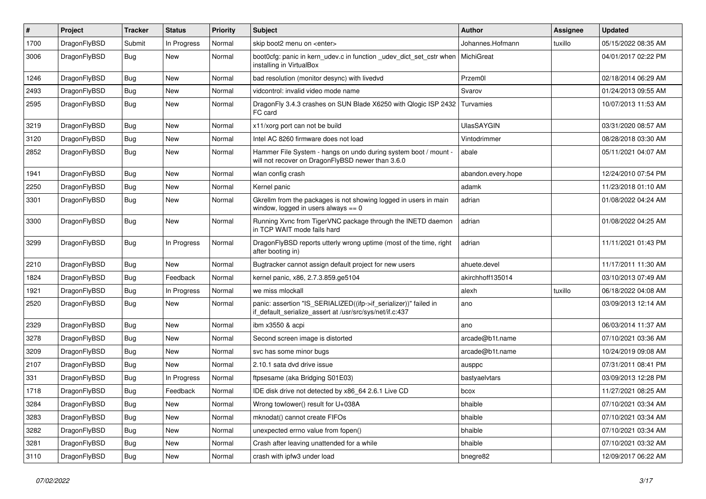| $\sharp$ | Project      | <b>Tracker</b> | <b>Status</b> | <b>Priority</b> | Subject                                                                                                                      | Author             | Assignee | <b>Updated</b>      |
|----------|--------------|----------------|---------------|-----------------|------------------------------------------------------------------------------------------------------------------------------|--------------------|----------|---------------------|
| 1700     | DragonFlyBSD | Submit         | In Progress   | Normal          | skip boot2 menu on <enter></enter>                                                                                           | Johannes.Hofmann   | tuxillo  | 05/15/2022 08:35 AM |
| 3006     | DragonFlyBSD | <b>Bug</b>     | New           | Normal          | boot0cfg: panic in kern_udev.c in function _udev_dict_set_cstr when<br>installing in VirtualBox                              | MichiGreat         |          | 04/01/2017 02:22 PM |
| 1246     | DragonFlyBSD | <b>Bug</b>     | <b>New</b>    | Normal          | bad resolution (monitor desync) with livedvd                                                                                 | Przem0l            |          | 02/18/2014 06:29 AM |
| 2493     | DragonFlyBSD | <b>Bug</b>     | <b>New</b>    | Normal          | vidcontrol: invalid video mode name                                                                                          | Svarov             |          | 01/24/2013 09:55 AM |
| 2595     | DragonFlyBSD | <b>Bug</b>     | New           | Normal          | DragonFly 3.4.3 crashes on SUN Blade X6250 with Qlogic ISP 2432<br>FC card                                                   | Turvamies          |          | 10/07/2013 11:53 AM |
| 3219     | DragonFlyBSD | <b>Bug</b>     | <b>New</b>    | Normal          | x11/xorg port can not be build                                                                                               | <b>UlasSAYGIN</b>  |          | 03/31/2020 08:57 AM |
| 3120     | DragonFlyBSD | <b>Bug</b>     | <b>New</b>    | Normal          | Intel AC 8260 firmware does not load                                                                                         | Vintodrimmer       |          | 08/28/2018 03:30 AM |
| 2852     | DragonFlyBSD | <b>Bug</b>     | New           | Normal          | Hammer File System - hangs on undo during system boot / mount -<br>will not recover on DragonFlyBSD newer than 3.6.0         | abale              |          | 05/11/2021 04:07 AM |
| 1941     | DragonFlyBSD | Bug            | New           | Normal          | wlan config crash                                                                                                            | abandon.every.hope |          | 12/24/2010 07:54 PM |
| 2250     | DragonFlyBSD | Bug            | <b>New</b>    | Normal          | Kernel panic                                                                                                                 | adamk              |          | 11/23/2018 01:10 AM |
| 3301     | DragonFlyBSD | Bug            | New           | Normal          | Gkrellm from the packages is not showing logged in users in main<br>window, logged in users always $== 0$                    | adrian             |          | 01/08/2022 04:24 AM |
| 3300     | DragonFlyBSD | <b>Bug</b>     | New           | Normal          | Running Xvnc from TigerVNC package through the INETD daemon<br>in TCP WAIT mode fails hard                                   | adrian             |          | 01/08/2022 04:25 AM |
| 3299     | DragonFlyBSD | Bug            | In Progress   | Normal          | DragonFlyBSD reports utterly wrong uptime (most of the time, right<br>after booting in)                                      | adrian             |          | 11/11/2021 01:43 PM |
| 2210     | DragonFlyBSD | Bug            | <b>New</b>    | Normal          | Bugtracker cannot assign default project for new users                                                                       | ahuete.devel       |          | 11/17/2011 11:30 AM |
| 1824     | DragonFlyBSD | Bug            | Feedback      | Normal          | kernel panic, x86, 2.7.3.859.ge5104                                                                                          | akirchhoff135014   |          | 03/10/2013 07:49 AM |
| 1921     | DragonFlyBSD | Bug            | In Progress   | Normal          | we miss mlockall                                                                                                             | alexh              | tuxillo  | 06/18/2022 04:08 AM |
| 2520     | DragonFlyBSD | Bug            | <b>New</b>    | Normal          | panic: assertion "IS_SERIALIZED((ifp->if_serializer))" failed in<br>if_default_serialize_assert at /usr/src/sys/net/if.c:437 | ano                |          | 03/09/2013 12:14 AM |
| 2329     | DragonFlyBSD | Bug            | New           | Normal          | ibm x3550 & acpi                                                                                                             | ano                |          | 06/03/2014 11:37 AM |
| 3278     | DragonFlyBSD | Bug            | New           | Normal          | Second screen image is distorted                                                                                             | arcade@b1t.name    |          | 07/10/2021 03:36 AM |
| 3209     | DragonFlyBSD | Bug            | New           | Normal          | svc has some minor bugs                                                                                                      | arcade@b1t.name    |          | 10/24/2019 09:08 AM |
| 2107     | DragonFlyBSD | Bug            | <b>New</b>    | Normal          | 2.10.1 sata dvd drive issue                                                                                                  | ausppc             |          | 07/31/2011 08:41 PM |
| 331      | DragonFlyBSD | Bug            | In Progress   | Normal          | ftpsesame (aka Bridging S01E03)                                                                                              | bastyaelvtars      |          | 03/09/2013 12:28 PM |
| 1718     | DragonFlyBSD | Bug            | Feedback      | Normal          | IDE disk drive not detected by x86_64 2.6.1 Live CD                                                                          | bcox               |          | 11/27/2021 08:25 AM |
| 3284     | DragonFlyBSD | <b>Bug</b>     | New           | Normal          | Wrong towlower() result for U+038A                                                                                           | bhaible            |          | 07/10/2021 03:34 AM |
| 3283     | DragonFlyBSD | <b>Bug</b>     | New           | Normal          | mknodat() cannot create FIFOs                                                                                                | bhaible            |          | 07/10/2021 03:34 AM |
| 3282     | DragonFlyBSD | Bug            | New           | Normal          | unexpected errno value from fopen()                                                                                          | bhaible            |          | 07/10/2021 03:34 AM |
| 3281     | DragonFlyBSD | <b>Bug</b>     | <b>New</b>    | Normal          | Crash after leaving unattended for a while                                                                                   | bhaible            |          | 07/10/2021 03:32 AM |
| 3110     | DragonFlyBSD | <b>Bug</b>     | New           | Normal          | crash with ipfw3 under load                                                                                                  | bnegre82           |          | 12/09/2017 06:22 AM |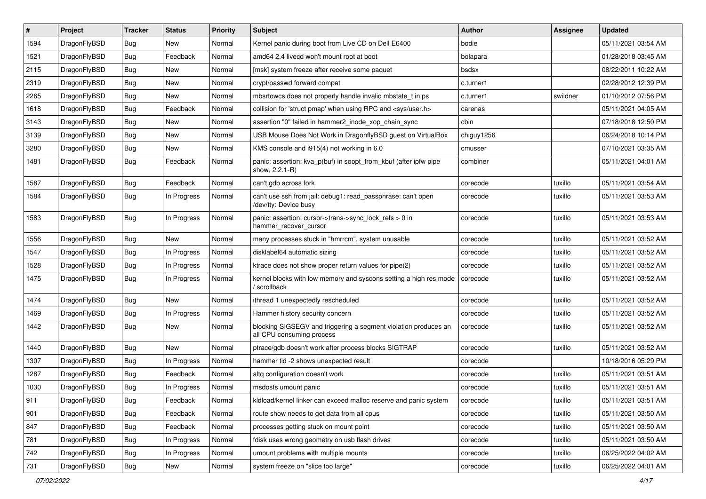| $\pmb{\#}$ | Project      | <b>Tracker</b> | <b>Status</b> | <b>Priority</b> | Subject                                                                                      | <b>Author</b> | Assignee | <b>Updated</b>      |
|------------|--------------|----------------|---------------|-----------------|----------------------------------------------------------------------------------------------|---------------|----------|---------------------|
| 1594       | DragonFlyBSD | Bug            | New           | Normal          | Kernel panic during boot from Live CD on Dell E6400                                          | bodie         |          | 05/11/2021 03:54 AM |
| 1521       | DragonFlyBSD | Bug            | Feedback      | Normal          | amd64 2.4 livecd won't mount root at boot                                                    | bolapara      |          | 01/28/2018 03:45 AM |
| 2115       | DragonFlyBSD | Bug            | <b>New</b>    | Normal          | [msk] system freeze after receive some paquet                                                | bsdsx         |          | 08/22/2011 10:22 AM |
| 2319       | DragonFlyBSD | Bug            | New           | Normal          | crypt/passwd forward compat                                                                  | c.turner1     |          | 02/28/2012 12:39 PM |
| 2265       | DragonFlyBSD | <b>Bug</b>     | <b>New</b>    | Normal          | mbsrtowcs does not properly handle invalid mbstate_t in ps                                   | c.turner1     | swildner | 01/10/2012 07:56 PM |
| 1618       | DragonFlyBSD | Bug            | Feedback      | Normal          | collision for 'struct pmap' when using RPC and <sys user.h=""></sys>                         | carenas       |          | 05/11/2021 04:05 AM |
| 3143       | DragonFlyBSD | Bug            | New           | Normal          | assertion "0" failed in hammer2_inode_xop_chain_sync                                         | cbin          |          | 07/18/2018 12:50 PM |
| 3139       | DragonFlyBSD | Bug            | <b>New</b>    | Normal          | USB Mouse Does Not Work in DragonflyBSD guest on VirtualBox                                  | chiguy1256    |          | 06/24/2018 10:14 PM |
| 3280       | DragonFlyBSD | Bug            | New           | Normal          | KMS console and i915(4) not working in 6.0                                                   | cmusser       |          | 07/10/2021 03:35 AM |
| 1481       | DragonFlyBSD | Bug            | Feedback      | Normal          | panic: assertion: kva_p(buf) in soopt_from_kbuf (after ipfw pipe<br>show, 2.2.1-R)           | combiner      |          | 05/11/2021 04:01 AM |
| 1587       | DragonFlyBSD | Bug            | Feedback      | Normal          | can't gdb across fork                                                                        | corecode      | tuxillo  | 05/11/2021 03:54 AM |
| 1584       | DragonFlyBSD | Bug            | In Progress   | Normal          | can't use ssh from jail: debug1: read_passphrase: can't open<br>/dev/tty: Device busy        | corecode      | tuxillo  | 05/11/2021 03:53 AM |
| 1583       | DragonFlyBSD | Bug            | In Progress   | Normal          | panic: assertion: cursor->trans->sync_lock_refs > 0 in<br>hammer_recover_cursor              | corecode      | tuxillo  | 05/11/2021 03:53 AM |
| 1556       | DragonFlyBSD | Bug            | New           | Normal          | many processes stuck in "hmrrcm", system unusable                                            | corecode      | tuxillo  | 05/11/2021 03:52 AM |
| 1547       | DragonFlyBSD | Bug            | In Progress   | Normal          | disklabel64 automatic sizing                                                                 | corecode      | tuxillo  | 05/11/2021 03:52 AM |
| 1528       | DragonFlyBSD | Bug            | In Progress   | Normal          | ktrace does not show proper return values for pipe(2)                                        | corecode      | tuxillo  | 05/11/2021 03:52 AM |
| 1475       | DragonFlyBSD | Bug            | In Progress   | Normal          | kernel blocks with low memory and syscons setting a high res mode<br>/ scrollback            | corecode      | tuxillo  | 05/11/2021 03:52 AM |
| 1474       | DragonFlyBSD | Bug            | New           | Normal          | ithread 1 unexpectedly rescheduled                                                           | corecode      | tuxillo  | 05/11/2021 03:52 AM |
| 1469       | DragonFlyBSD | Bug            | In Progress   | Normal          | Hammer history security concern                                                              | corecode      | tuxillo  | 05/11/2021 03:52 AM |
| 1442       | DragonFlyBSD | Bug            | <b>New</b>    | Normal          | blocking SIGSEGV and triggering a segment violation produces an<br>all CPU consuming process | corecode      | tuxillo  | 05/11/2021 03:52 AM |
| 1440       | DragonFlyBSD | Bug            | <b>New</b>    | Normal          | ptrace/gdb doesn't work after process blocks SIGTRAP                                         | corecode      | tuxillo  | 05/11/2021 03:52 AM |
| 1307       | DragonFlyBSD | Bug            | In Progress   | Normal          | hammer tid -2 shows unexpected result                                                        | corecode      |          | 10/18/2016 05:29 PM |
| 1287       | DragonFlyBSD | Bug            | Feedback      | Normal          | altq configuration doesn't work                                                              | corecode      | tuxillo  | 05/11/2021 03:51 AM |
| 1030       | DragonFlyBSD | Bug            | In Progress   | Normal          | msdosfs umount panic                                                                         | corecode      | tuxillo  | 05/11/2021 03:51 AM |
| 911        | DragonFlyBSD | Bug            | Feedback      | Normal          | kldload/kernel linker can exceed malloc reserve and panic system                             | corecode      | tuxillo  | 05/11/2021 03:51 AM |
| 901        | DragonFlyBSD | Bug            | Feedback      | Normal          | route show needs to get data from all cpus                                                   | corecode      | tuxillo  | 05/11/2021 03:50 AM |
| 847        | DragonFlyBSD | <b>Bug</b>     | Feedback      | Normal          | processes getting stuck on mount point                                                       | corecode      | tuxillo  | 05/11/2021 03:50 AM |
| 781        | DragonFlyBSD | Bug            | In Progress   | Normal          | fdisk uses wrong geometry on usb flash drives                                                | corecode      | tuxillo  | 05/11/2021 03:50 AM |
| 742        | DragonFlyBSD | <b>Bug</b>     | In Progress   | Normal          | umount problems with multiple mounts                                                         | corecode      | tuxillo  | 06/25/2022 04:02 AM |
| 731        | DragonFlyBSD | Bug            | New           | Normal          | system freeze on "slice too large"                                                           | corecode      | tuxillo  | 06/25/2022 04:01 AM |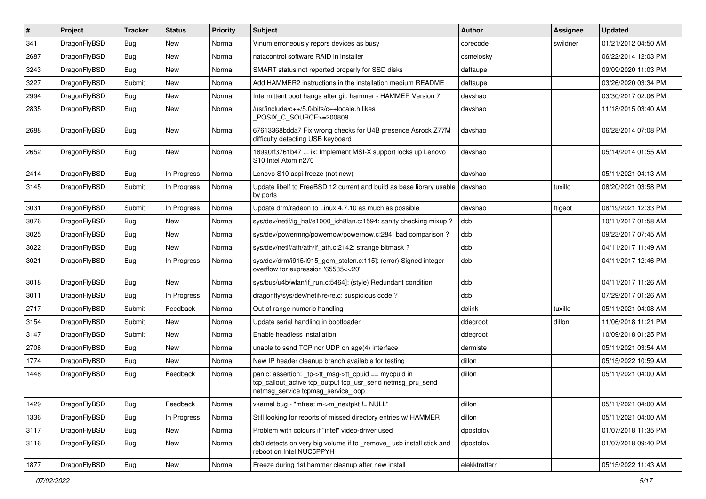| #    | Project      | <b>Tracker</b> | <b>Status</b> | <b>Priority</b> | <b>Subject</b>                                                                                                                                            | Author        | Assignee | <b>Updated</b>      |
|------|--------------|----------------|---------------|-----------------|-----------------------------------------------------------------------------------------------------------------------------------------------------------|---------------|----------|---------------------|
| 341  | DragonFlyBSD | Bug            | <b>New</b>    | Normal          | Vinum erroneously repors devices as busy                                                                                                                  | corecode      | swildner | 01/21/2012 04:50 AM |
| 2687 | DragonFlyBSD | <b>Bug</b>     | <b>New</b>    | Normal          | natacontrol software RAID in installer                                                                                                                    | csmelosky     |          | 06/22/2014 12:03 PM |
| 3243 | DragonFlyBSD | <b>Bug</b>     | <b>New</b>    | Normal          | SMART status not reported properly for SSD disks                                                                                                          | daftaupe      |          | 09/09/2020 11:03 PM |
| 3227 | DragonFlyBSD | Submit         | <b>New</b>    | Normal          | Add HAMMER2 instructions in the installation medium README                                                                                                | daftaupe      |          | 03/26/2020 03:34 PM |
| 2994 | DragonFlyBSD | <b>Bug</b>     | <b>New</b>    | Normal          | Intermittent boot hangs after git: hammer - HAMMER Version 7                                                                                              | davshao       |          | 03/30/2017 02:06 PM |
| 2835 | DragonFlyBSD | Bug            | New           | Normal          | /usr/include/c++/5.0/bits/c++locale.h likes<br>POSIX C SOURCE>=200809                                                                                     | davshao       |          | 11/18/2015 03:40 AM |
| 2688 | DragonFlyBSD | Bug            | New           | Normal          | 67613368bdda7 Fix wrong checks for U4B presence Asrock Z77M<br>difficulty detecting USB keyboard                                                          | davshao       |          | 06/28/2014 07:08 PM |
| 2652 | DragonFlyBSD | <b>Bug</b>     | New           | Normal          | 189a0ff3761b47  ix: Implement MSI-X support locks up Lenovo<br>S10 Intel Atom n270                                                                        | davshao       |          | 05/14/2014 01:55 AM |
| 2414 | DragonFlyBSD | Bug            | In Progress   | Normal          | Lenovo S10 acpi freeze (not new)                                                                                                                          | davshao       |          | 05/11/2021 04:13 AM |
| 3145 | DragonFlyBSD | Submit         | In Progress   | Normal          | Update libelf to FreeBSD 12 current and build as base library usable<br>by ports                                                                          | davshao       | tuxillo  | 08/20/2021 03:58 PM |
| 3031 | DragonFlyBSD | Submit         | In Progress   | Normal          | Update drm/radeon to Linux 4.7.10 as much as possible                                                                                                     | davshao       | ftigeot  | 08/19/2021 12:33 PM |
| 3076 | DragonFlyBSD | <b>Bug</b>     | New           | Normal          | sys/dev/netif/ig_hal/e1000_ich8lan.c:1594: sanity checking mixup?                                                                                         | dcb           |          | 10/11/2017 01:58 AM |
| 3025 | DragonFlyBSD | Bug            | <b>New</b>    | Normal          | sys/dev/powermng/powernow/powernow.c:284: bad comparison?                                                                                                 | dcb           |          | 09/23/2017 07:45 AM |
| 3022 | DragonFlyBSD | <b>Bug</b>     | New           | Normal          | sys/dev/netif/ath/ath/if_ath.c:2142: strange bitmask?                                                                                                     | dcb           |          | 04/11/2017 11:49 AM |
| 3021 | DragonFlyBSD | Bug            | In Progress   | Normal          | sys/dev/drm/i915/i915_gem_stolen.c:115]: (error) Signed integer<br>overflow for expression '65535<<20'                                                    | dcb           |          | 04/11/2017 12:46 PM |
| 3018 | DragonFlyBSD | <b>Bug</b>     | <b>New</b>    | Normal          | sys/bus/u4b/wlan/if_run.c:5464]: (style) Redundant condition                                                                                              | dcb           |          | 04/11/2017 11:26 AM |
| 3011 | DragonFlyBSD | Bug            | In Progress   | Normal          | dragonfly/sys/dev/netif/re/re.c: suspicious code?                                                                                                         | dcb           |          | 07/29/2017 01:26 AM |
| 2717 | DragonFlyBSD | Submit         | Feedback      | Normal          | Out of range numeric handling                                                                                                                             | dclink        | tuxillo  | 05/11/2021 04:08 AM |
| 3154 | DragonFlyBSD | Submit         | <b>New</b>    | Normal          | Update serial handling in bootloader                                                                                                                      | ddegroot      | dillon   | 11/06/2018 11:21 PM |
| 3147 | DragonFlyBSD | Submit         | <b>New</b>    | Normal          | Enable headless installation                                                                                                                              | ddegroot      |          | 10/09/2018 01:25 PM |
| 2708 | DragonFlyBSD | Bug            | <b>New</b>    | Normal          | unable to send TCP nor UDP on age(4) interface                                                                                                            | dermiste      |          | 05/11/2021 03:54 AM |
| 1774 | DragonFlyBSD | Bug            | New           | Normal          | New IP header cleanup branch available for testing                                                                                                        | dillon        |          | 05/15/2022 10:59 AM |
| 1448 | DragonFlyBSD | Bug            | Feedback      | Normal          | panic: assertion: _tp->tt_msg->tt_cpuid == mycpuid in<br>tcp_callout_active tcp_output tcp_usr_send netmsg_pru_send<br>netmsg service tcpmsg service loop | dillon        |          | 05/11/2021 04:00 AM |
| 1429 | DragonFlyBSD | Bug            | Feedback      | Normal          | vkernel bug - "mfree: m->m_nextpkt != NULL"                                                                                                               | dillon        |          | 05/11/2021 04:00 AM |
| 1336 | DragonFlyBSD | <b>Bug</b>     | In Progress   | Normal          | Still looking for reports of missed directory entries w/ HAMMER                                                                                           | dillon        |          | 05/11/2021 04:00 AM |
| 3117 | DragonFlyBSD | <b>Bug</b>     | New           | Normal          | Problem with colours if "intel" video-driver used                                                                                                         | dpostolov     |          | 01/07/2018 11:35 PM |
| 3116 | DragonFlyBSD | Bug            | New           | Normal          | da0 detects on very big volume if to _remove_ usb install stick and<br>reboot on Intel NUC5PPYH                                                           | dpostolov     |          | 01/07/2018 09:40 PM |
| 1877 | DragonFlyBSD | <b>Bug</b>     | New           | Normal          | Freeze during 1st hammer cleanup after new install                                                                                                        | elekktretterr |          | 05/15/2022 11:43 AM |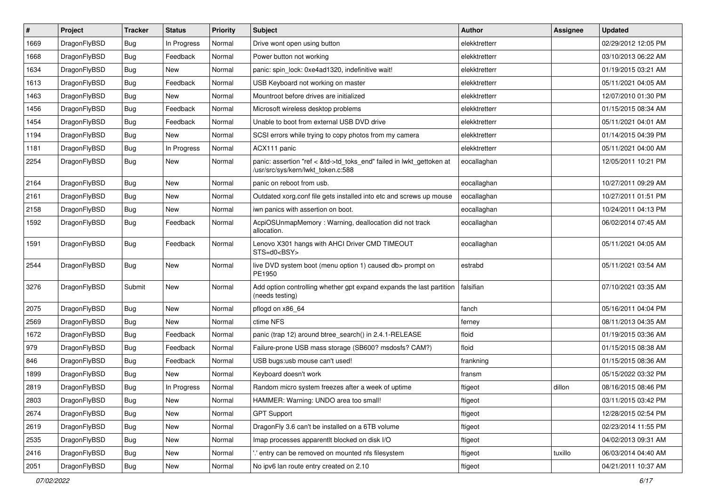| $\vert$ # | Project      | <b>Tracker</b> | <b>Status</b> | <b>Priority</b> | Subject                                                                                                    | Author        | Assignee | <b>Updated</b>      |
|-----------|--------------|----------------|---------------|-----------------|------------------------------------------------------------------------------------------------------------|---------------|----------|---------------------|
| 1669      | DragonFlyBSD | <b>Bug</b>     | In Progress   | Normal          | Drive wont open using button                                                                               | elekktretterr |          | 02/29/2012 12:05 PM |
| 1668      | DragonFlyBSD | <b>Bug</b>     | Feedback      | Normal          | Power button not working                                                                                   | elekktretterr |          | 03/10/2013 06:22 AM |
| 1634      | DragonFlyBSD | <b>Bug</b>     | New           | Normal          | panic: spin lock: 0xe4ad1320, indefinitive wait!                                                           | elekktretterr |          | 01/19/2015 03:21 AM |
| 1613      | DragonFlyBSD | <b>Bug</b>     | Feedback      | Normal          | USB Keyboard not working on master                                                                         | elekktretterr |          | 05/11/2021 04:05 AM |
| 1463      | DragonFlyBSD | <b>Bug</b>     | New           | Normal          | Mountroot before drives are initialized                                                                    | elekktretterr |          | 12/07/2010 01:30 PM |
| 1456      | DragonFlyBSD | <b>Bug</b>     | Feedback      | Normal          | Microsoft wireless desktop problems                                                                        | elekktretterr |          | 01/15/2015 08:34 AM |
| 1454      | DragonFlyBSD | <b>Bug</b>     | Feedback      | Normal          | Unable to boot from external USB DVD drive                                                                 | elekktretterr |          | 05/11/2021 04:01 AM |
| 1194      | DragonFlyBSD | <b>Bug</b>     | New           | Normal          | SCSI errors while trying to copy photos from my camera                                                     | elekktretterr |          | 01/14/2015 04:39 PM |
| 1181      | DragonFlyBSD | <b>Bug</b>     | In Progress   | Normal          | ACX111 panic                                                                                               | elekktretterr |          | 05/11/2021 04:00 AM |
| 2254      | DragonFlyBSD | <b>Bug</b>     | New           | Normal          | panic: assertion "ref < &td->td_toks_end" failed in lwkt_gettoken at<br>/usr/src/sys/kern/lwkt_token.c:588 | eocallaghan   |          | 12/05/2011 10:21 PM |
| 2164      | DragonFlyBSD | <b>Bug</b>     | New           | Normal          | panic on reboot from usb.                                                                                  | eocallaghan   |          | 10/27/2011 09:29 AM |
| 2161      | DragonFlyBSD | <b>Bug</b>     | New           | Normal          | Outdated xorg.conf file gets installed into etc and screws up mouse                                        | eocallaghan   |          | 10/27/2011 01:51 PM |
| 2158      | DragonFlyBSD | <b>Bug</b>     | New           | Normal          | iwn panics with assertion on boot.                                                                         | eocallaghan   |          | 10/24/2011 04:13 PM |
| 1592      | DragonFlyBSD | <b>Bug</b>     | Feedback      | Normal          | AcpiOSUnmapMemory: Warning, deallocation did not track<br>allocation.                                      | eocallaghan   |          | 06/02/2014 07:45 AM |
| 1591      | DragonFlyBSD | <b>Bug</b>     | Feedback      | Normal          | Lenovo X301 hangs with AHCI Driver CMD TIMEOUT<br>STS=d0 <bsy></bsy>                                       | eocallaghan   |          | 05/11/2021 04:05 AM |
| 2544      | DragonFlyBSD | Bug            | New           | Normal          | live DVD system boot (menu option 1) caused db> prompt on<br>PE1950                                        | estrabd       |          | 05/11/2021 03:54 AM |
| 3276      | DragonFlyBSD | Submit         | New           | Normal          | Add option controlling whether gpt expand expands the last partition<br>(needs testing)                    | falsifian     |          | 07/10/2021 03:35 AM |
| 2075      | DragonFlyBSD | <b>Bug</b>     | <b>New</b>    | Normal          | pflogd on x86_64                                                                                           | fanch         |          | 05/16/2011 04:04 PM |
| 2569      | DragonFlyBSD | <b>Bug</b>     | New           | Normal          | ctime NFS                                                                                                  | ferney        |          | 08/11/2013 04:35 AM |
| 1672      | DragonFlyBSD | <b>Bug</b>     | Feedback      | Normal          | panic (trap 12) around btree_search() in 2.4.1-RELEASE                                                     | floid         |          | 01/19/2015 03:36 AM |
| 979       | DragonFlyBSD | <b>Bug</b>     | Feedback      | Normal          | Failure-prone USB mass storage (SB600? msdosfs? CAM?)                                                      | floid         |          | 01/15/2015 08:38 AM |
| 846       | DragonFlyBSD | <b>Bug</b>     | Feedback      | Normal          | USB bugs:usb mouse can't used!                                                                             | frankning     |          | 01/15/2015 08:36 AM |
| 1899      | DragonFlyBSD | <b>Bug</b>     | New           | Normal          | Keyboard doesn't work                                                                                      | fransm        |          | 05/15/2022 03:32 PM |
| 2819      | DragonFlyBSD | <b>Bug</b>     | In Progress   | Normal          | Random micro system freezes after a week of uptime                                                         | ftigeot       | dillon   | 08/16/2015 08:46 PM |
| 2803      | DragonFlyBSD | <b>Bug</b>     | <b>New</b>    | Normal          | HAMMER: Warning: UNDO area too small!                                                                      | ftigeot       |          | 03/11/2015 03:42 PM |
| 2674      | DragonFlyBSD | <b>Bug</b>     | <b>New</b>    | Normal          | <b>GPT Support</b>                                                                                         | ftigeot       |          | 12/28/2015 02:54 PM |
| 2619      | DragonFlyBSD | <b>Bug</b>     | New           | Normal          | DragonFly 3.6 can't be installed on a 6TB volume                                                           | ftigeot       |          | 02/23/2014 11:55 PM |
| 2535      | DragonFlyBSD | <b>Bug</b>     | New           | Normal          | Imap processes apparentlt blocked on disk I/O                                                              | ftigeot       |          | 04/02/2013 09:31 AM |
| 2416      | DragonFlyBSD | <b>Bug</b>     | New           | Normal          | ".' entry can be removed on mounted nfs filesystem                                                         | ftigeot       | tuxillo  | 06/03/2014 04:40 AM |
| 2051      | DragonFlyBSD | <b>Bug</b>     | New           | Normal          | No ipv6 lan route entry created on 2.10                                                                    | ftigeot       |          | 04/21/2011 10:37 AM |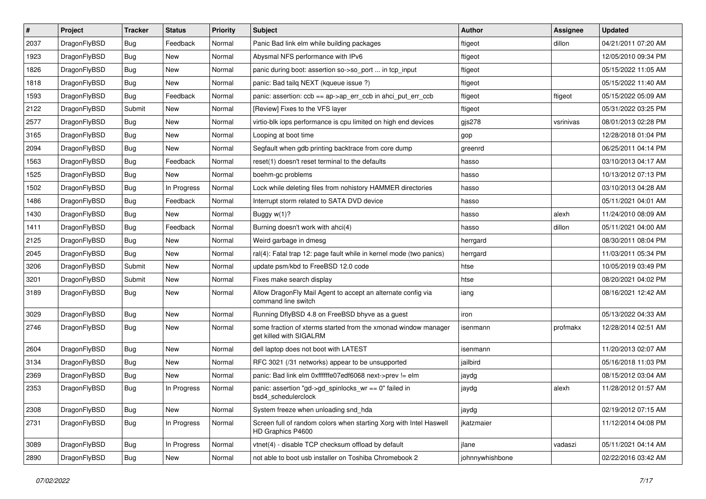| $\pmb{\#}$ | Project      | <b>Tracker</b> | <b>Status</b> | <b>Priority</b> | Subject                                                                                   | Author          | Assignee  | <b>Updated</b>      |
|------------|--------------|----------------|---------------|-----------------|-------------------------------------------------------------------------------------------|-----------------|-----------|---------------------|
| 2037       | DragonFlyBSD | <b>Bug</b>     | Feedback      | Normal          | Panic Bad link elm while building packages                                                | ftigeot         | dillon    | 04/21/2011 07:20 AM |
| 1923       | DragonFlyBSD | Bug            | New           | Normal          | Abysmal NFS performance with IPv6                                                         | ftigeot         |           | 12/05/2010 09:34 PM |
| 1826       | DragonFlyBSD | <b>Bug</b>     | New           | Normal          | panic during boot: assertion so->so_port  in tcp_input                                    | ftigeot         |           | 05/15/2022 11:05 AM |
| 1818       | DragonFlyBSD | <b>Bug</b>     | <b>New</b>    | Normal          | panic: Bad tailg NEXT (kqueue issue ?)                                                    | ftigeot         |           | 05/15/2022 11:40 AM |
| 1593       | DragonFlyBSD | Bug            | Feedback      | Normal          | panic: assertion: ccb == ap->ap_err_ccb in ahci_put_err_ccb                               | ftigeot         | ftigeot   | 05/15/2022 05:09 AM |
| 2122       | DragonFlyBSD | Submit         | New           | Normal          | [Review] Fixes to the VFS layer                                                           | ftigeot         |           | 05/31/2022 03:25 PM |
| 2577       | DragonFlyBSD | <b>Bug</b>     | <b>New</b>    | Normal          | virtio-blk iops performance is cpu limited on high end devices                            | gjs278          | vsrinivas | 08/01/2013 02:28 PM |
| 3165       | DragonFlyBSD | <b>Bug</b>     | <b>New</b>    | Normal          | Looping at boot time                                                                      | gop             |           | 12/28/2018 01:04 PM |
| 2094       | DragonFlyBSD | <b>Bug</b>     | New           | Normal          | Segfault when gdb printing backtrace from core dump                                       | greenrd         |           | 06/25/2011 04:14 PM |
| 1563       | DragonFlyBSD | Bug            | Feedback      | Normal          | reset(1) doesn't reset terminal to the defaults                                           | hasso           |           | 03/10/2013 04:17 AM |
| 1525       | DragonFlyBSD | <b>Bug</b>     | New           | Normal          | boehm-gc problems                                                                         | hasso           |           | 10/13/2012 07:13 PM |
| 1502       | DragonFlyBSD | <b>Bug</b>     | In Progress   | Normal          | Lock while deleting files from nohistory HAMMER directories                               | hasso           |           | 03/10/2013 04:28 AM |
| 1486       | DragonFlyBSD | <b>Bug</b>     | Feedback      | Normal          | Interrupt storm related to SATA DVD device                                                | hasso           |           | 05/11/2021 04:01 AM |
| 1430       | DragonFlyBSD | <b>Bug</b>     | New           | Normal          | Buggy w(1)?                                                                               | hasso           | alexh     | 11/24/2010 08:09 AM |
| 1411       | DragonFlyBSD | Bug            | Feedback      | Normal          | Burning doesn't work with ahci(4)                                                         | hasso           | dillon    | 05/11/2021 04:00 AM |
| 2125       | DragonFlyBSD | <b>Bug</b>     | New           | Normal          | Weird garbage in dmesg                                                                    | herrgard        |           | 08/30/2011 08:04 PM |
| 2045       | DragonFlyBSD | <b>Bug</b>     | New           | Normal          | ral(4): Fatal trap 12: page fault while in kernel mode (two panics)                       | herrgard        |           | 11/03/2011 05:34 PM |
| 3206       | DragonFlyBSD | Submit         | New           | Normal          | update psm/kbd to FreeBSD 12.0 code                                                       | htse            |           | 10/05/2019 03:49 PM |
| 3201       | DragonFlyBSD | Submit         | <b>New</b>    | Normal          | Fixes make search display                                                                 | htse            |           | 08/20/2021 04:02 PM |
| 3189       | DragonFlyBSD | Bug            | New           | Normal          | Allow DragonFly Mail Agent to accept an alternate config via<br>command line switch       | iang            |           | 08/16/2021 12:42 AM |
| 3029       | DragonFlyBSD | Bug            | New           | Normal          | Running DflyBSD 4.8 on FreeBSD bhyve as a guest                                           | iron            |           | 05/13/2022 04:33 AM |
| 2746       | DragonFlyBSD | Bug            | New           | Normal          | some fraction of xterms started from the xmonad window manager<br>get killed with SIGALRM | isenmann        | profmakx  | 12/28/2014 02:51 AM |
| 2604       | DragonFlyBSD | Bug            | <b>New</b>    | Normal          | dell laptop does not boot with LATEST                                                     | isenmann        |           | 11/20/2013 02:07 AM |
| 3134       | DragonFlyBSD | <b>Bug</b>     | New           | Normal          | RFC 3021 (/31 networks) appear to be unsupported                                          | jailbird        |           | 05/16/2018 11:03 PM |
| 2369       | DragonFlyBSD | <b>Bug</b>     | <b>New</b>    | Normal          | panic: Bad link elm 0xffffffe07edf6068 next->prev != elm                                  | jaydg           |           | 08/15/2012 03:04 AM |
| 2353       | DragonFlyBSD | Bug            | In Progress   | Normal          | panic: assertion "gd->gd_spinlocks_wr == 0" failed in<br>bsd4 schedulerclock              | jaydg           | alexh     | 11/28/2012 01:57 AM |
| 2308       | DragonFlyBSD | <b>Bug</b>     | New           | Normal          | System freeze when unloading snd_hda                                                      | jaydg           |           | 02/19/2012 07:15 AM |
| 2731       | DragonFlyBSD | Bug            | In Progress   | Normal          | Screen full of random colors when starting Xorg with Intel Haswell<br>HD Graphics P4600   | jkatzmaier      |           | 11/12/2014 04:08 PM |
| 3089       | DragonFlyBSD | <b>Bug</b>     | In Progress   | Normal          | vtnet(4) - disable TCP checksum offload by default                                        | jlane           | vadaszi   | 05/11/2021 04:14 AM |
| 2890       | DragonFlyBSD | <b>Bug</b>     | New           | Normal          | not able to boot usb installer on Toshiba Chromebook 2                                    | johnnywhishbone |           | 02/22/2016 03:42 AM |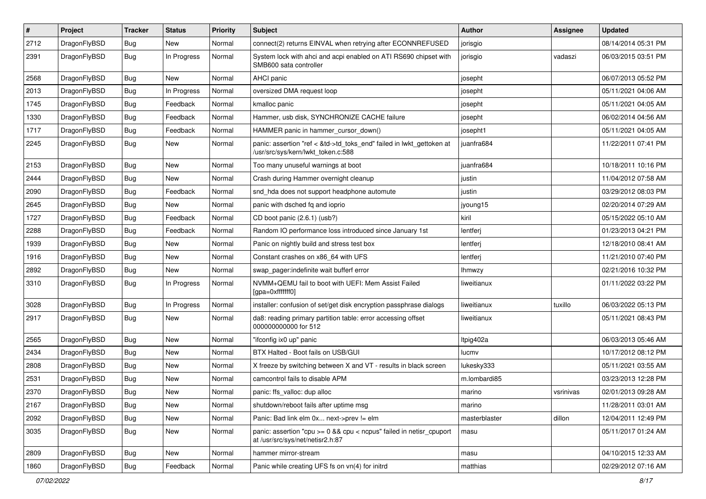| $\pmb{\#}$ | Project      | <b>Tracker</b> | <b>Status</b> | <b>Priority</b> | Subject                                                                                                    | Author        | Assignee  | <b>Updated</b>      |
|------------|--------------|----------------|---------------|-----------------|------------------------------------------------------------------------------------------------------------|---------------|-----------|---------------------|
| 2712       | DragonFlyBSD | Bug            | New           | Normal          | connect(2) returns EINVAL when retrying after ECONNREFUSED                                                 | jorisgio      |           | 08/14/2014 05:31 PM |
| 2391       | DragonFlyBSD | Bug            | In Progress   | Normal          | System lock with ahci and acpi enabled on ATI RS690 chipset with<br>SMB600 sata controller                 | jorisgio      | vadaszi   | 06/03/2015 03:51 PM |
| 2568       | DragonFlyBSD | Bug            | New           | Normal          | AHCI panic                                                                                                 | josepht       |           | 06/07/2013 05:52 PM |
| 2013       | DragonFlyBSD | Bug            | In Progress   | Normal          | oversized DMA request loop                                                                                 | josepht       |           | 05/11/2021 04:06 AM |
| 1745       | DragonFlyBSD | Bug            | Feedback      | Normal          | kmalloc panic                                                                                              | josepht       |           | 05/11/2021 04:05 AM |
| 1330       | DragonFlyBSD | Bug            | Feedback      | Normal          | Hammer, usb disk, SYNCHRONIZE CACHE failure                                                                | josepht       |           | 06/02/2014 04:56 AM |
| 1717       | DragonFlyBSD | Bug            | Feedback      | Normal          | HAMMER panic in hammer cursor down()                                                                       | josepht1      |           | 05/11/2021 04:05 AM |
| 2245       | DragonFlyBSD | Bug            | New           | Normal          | panic: assertion "ref < &td->td_toks_end" failed in lwkt_gettoken at<br>/usr/src/sys/kern/lwkt_token.c:588 | juanfra684    |           | 11/22/2011 07:41 PM |
| 2153       | DragonFlyBSD | <b>Bug</b>     | <b>New</b>    | Normal          | Too many unuseful warnings at boot                                                                         | juanfra684    |           | 10/18/2011 10:16 PM |
| 2444       | DragonFlyBSD | Bug            | <b>New</b>    | Normal          | Crash during Hammer overnight cleanup                                                                      | justin        |           | 11/04/2012 07:58 AM |
| 2090       | DragonFlyBSD | <b>Bug</b>     | Feedback      | Normal          | snd_hda does not support headphone automute                                                                | justin        |           | 03/29/2012 08:03 PM |
| 2645       | DragonFlyBSD | Bug            | New           | Normal          | panic with dsched fq and ioprio                                                                            | jyoung15      |           | 02/20/2014 07:29 AM |
| 1727       | DragonFlyBSD | Bug            | Feedback      | Normal          | CD boot panic (2.6.1) (usb?)                                                                               | kiril         |           | 05/15/2022 05:10 AM |
| 2288       | DragonFlyBSD | Bug            | Feedback      | Normal          | Random IO performance loss introduced since January 1st                                                    | lentferj      |           | 01/23/2013 04:21 PM |
| 1939       | DragonFlyBSD | Bug            | <b>New</b>    | Normal          | Panic on nightly build and stress test box                                                                 | lentferj      |           | 12/18/2010 08:41 AM |
| 1916       | DragonFlyBSD | Bug            | <b>New</b>    | Normal          | Constant crashes on x86_64 with UFS                                                                        | lentferj      |           | 11/21/2010 07:40 PM |
| 2892       | DragonFlyBSD | Bug            | New           | Normal          | swap pager:indefinite wait bufferf error                                                                   | lhmwzy        |           | 02/21/2016 10:32 PM |
| 3310       | DragonFlyBSD | Bug            | In Progress   | Normal          | NVMM+QEMU fail to boot with UEFI: Mem Assist Failed<br>[gpa=0xfffffff0]                                    | liweitianux   |           | 01/11/2022 03:22 PM |
| 3028       | DragonFlyBSD | Bug            | In Progress   | Normal          | installer: confusion of set/get disk encryption passphrase dialogs                                         | liweitianux   | tuxillo   | 06/03/2022 05:13 PM |
| 2917       | DragonFlyBSD | Bug            | <b>New</b>    | Normal          | da8: reading primary partition table: error accessing offset<br>000000000000 for 512                       | liweitianux   |           | 05/11/2021 08:43 PM |
| 2565       | DragonFlyBSD | Bug            | <b>New</b>    | Normal          | "ifconfig ix0 up" panic                                                                                    | Itpig402a     |           | 06/03/2013 05:46 AM |
| 2434       | DragonFlyBSD | Bug            | <b>New</b>    | Normal          | BTX Halted - Boot fails on USB/GUI                                                                         | lucmv         |           | 10/17/2012 08:12 PM |
| 2808       | DragonFlyBSD | <b>Bug</b>     | New           | Normal          | X freeze by switching between X and VT - results in black screen                                           | lukesky333    |           | 05/11/2021 03:55 AM |
| 2531       | DragonFlyBSD | Bug            | <b>New</b>    | Normal          | camcontrol fails to disable APM                                                                            | m.lombardi85  |           | 03/23/2013 12:28 PM |
| 2370       | DragonFlyBSD | <b>Bug</b>     | New           | Normal          | panic: ffs_valloc: dup alloc                                                                               | marino        | vsrinivas | 02/01/2013 09:28 AM |
| 2167       | DragonFlyBSD | <b>Bug</b>     | New           | Normal          | shutdown/reboot fails after uptime msg                                                                     | marino        |           | 11/28/2011 03:01 AM |
| 2092       | DragonFlyBSD | Bug            | New           | Normal          | Panic: Bad link elm 0x next->prev != elm                                                                   | masterblaster | dillon    | 12/04/2011 12:49 PM |
| 3035       | DragonFlyBSD | <b>Bug</b>     | New           | Normal          | panic: assertion "cpu >= 0 && cpu < ncpus" failed in netisr_cpuport<br>at /usr/src/sys/net/netisr2.h:87    | masu          |           | 05/11/2017 01:24 AM |
| 2809       | DragonFlyBSD | Bug            | New           | Normal          | hammer mirror-stream                                                                                       | masu          |           | 04/10/2015 12:33 AM |
| 1860       | DragonFlyBSD | <b>Bug</b>     | Feedback      | Normal          | Panic while creating UFS fs on vn(4) for initrd                                                            | matthias      |           | 02/29/2012 07:16 AM |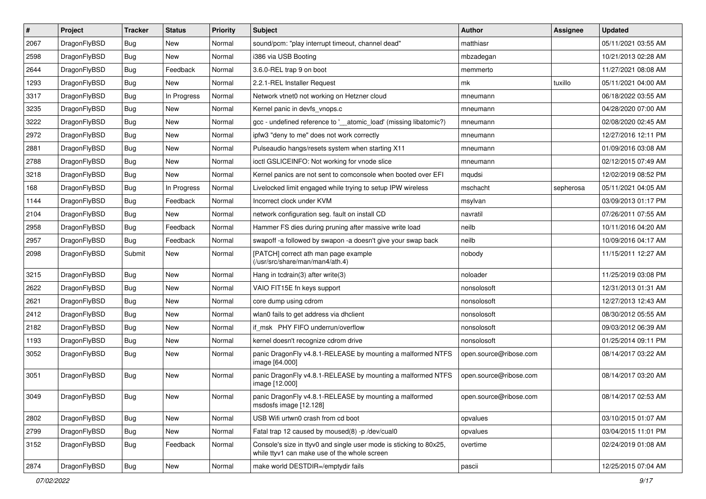| $\pmb{\#}$ | Project      | <b>Tracker</b> | <b>Status</b> | <b>Priority</b> | Subject                                                                                                            | <b>Author</b>          | <b>Assignee</b> | <b>Updated</b>      |
|------------|--------------|----------------|---------------|-----------------|--------------------------------------------------------------------------------------------------------------------|------------------------|-----------------|---------------------|
| 2067       | DragonFlyBSD | Bug            | New           | Normal          | sound/pcm: "play interrupt timeout, channel dead"                                                                  | matthiasr              |                 | 05/11/2021 03:55 AM |
| 2598       | DragonFlyBSD | Bug            | <b>New</b>    | Normal          | i386 via USB Booting                                                                                               | mbzadegan              |                 | 10/21/2013 02:28 AM |
| 2644       | DragonFlyBSD | <b>Bug</b>     | Feedback      | Normal          | 3.6.0-REL trap 9 on boot                                                                                           | memmerto               |                 | 11/27/2021 08:08 AM |
| 1293       | DragonFlyBSD | <b>Bug</b>     | New           | Normal          | 2.2.1-REL Installer Request                                                                                        | mk                     | tuxillo         | 05/11/2021 04:00 AM |
| 3317       | DragonFlyBSD | Bug            | In Progress   | Normal          | Network vtnet0 not working on Hetzner cloud                                                                        | mneumann               |                 | 06/18/2022 03:55 AM |
| 3235       | DragonFlyBSD | <b>Bug</b>     | New           | Normal          | Kernel panic in devfs vnops.c                                                                                      | mneumann               |                 | 04/28/2020 07:00 AM |
| 3222       | DragonFlyBSD | <b>Bug</b>     | New           | Normal          | gcc - undefined reference to '__atomic_load' (missing libatomic?)                                                  | mneumann               |                 | 02/08/2020 02:45 AM |
| 2972       | DragonFlyBSD | <b>Bug</b>     | <b>New</b>    | Normal          | ipfw3 "deny to me" does not work correctly                                                                         | mneumann               |                 | 12/27/2016 12:11 PM |
| 2881       | DragonFlyBSD | <b>Bug</b>     | New           | Normal          | Pulseaudio hangs/resets system when starting X11                                                                   | mneumann               |                 | 01/09/2016 03:08 AM |
| 2788       | DragonFlyBSD | Bug            | New           | Normal          | ioctl GSLICEINFO: Not working for vnode slice                                                                      | mneumann               |                 | 02/12/2015 07:49 AM |
| 3218       | DragonFlyBSD | <b>Bug</b>     | New           | Normal          | Kernel panics are not sent to comconsole when booted over EFI                                                      | mqudsi                 |                 | 12/02/2019 08:52 PM |
| 168        | DragonFlyBSD | <b>Bug</b>     | In Progress   | Normal          | Livelocked limit engaged while trying to setup IPW wireless                                                        | mschacht               | sepherosa       | 05/11/2021 04:05 AM |
| 1144       | DragonFlyBSD | <b>Bug</b>     | Feedback      | Normal          | Incorrect clock under KVM                                                                                          | msylvan                |                 | 03/09/2013 01:17 PM |
| 2104       | DragonFlyBSD | <b>Bug</b>     | New           | Normal          | network configuration seg. fault on install CD                                                                     | navratil               |                 | 07/26/2011 07:55 AM |
| 2958       | DragonFlyBSD | Bug            | Feedback      | Normal          | Hammer FS dies during pruning after massive write load                                                             | neilb                  |                 | 10/11/2016 04:20 AM |
| 2957       | DragonFlyBSD | <b>Bug</b>     | Feedback      | Normal          | swapoff -a followed by swapon -a doesn't give your swap back                                                       | neilb                  |                 | 10/09/2016 04:17 AM |
| 2098       | DragonFlyBSD | Submit         | New           | Normal          | [PATCH] correct ath man page example<br>(/usr/src/share/man/man4/ath.4)                                            | nobody                 |                 | 11/15/2011 12:27 AM |
| 3215       | DragonFlyBSD | Bug            | New           | Normal          | Hang in tcdrain(3) after write(3)                                                                                  | noloader               |                 | 11/25/2019 03:08 PM |
| 2622       | DragonFlyBSD | <b>Bug</b>     | New           | Normal          | VAIO FIT15E fn keys support                                                                                        | nonsolosoft            |                 | 12/31/2013 01:31 AM |
| 2621       | DragonFlyBSD | <b>Bug</b>     | New           | Normal          | core dump using cdrom                                                                                              | nonsolosoft            |                 | 12/27/2013 12:43 AM |
| 2412       | DragonFlyBSD | <b>Bug</b>     | <b>New</b>    | Normal          | wlan0 fails to get address via dhclient                                                                            | nonsolosoft            |                 | 08/30/2012 05:55 AM |
| 2182       | DragonFlyBSD | Bug            | New           | Normal          | if_msk PHY FIFO underrun/overflow                                                                                  | nonsolosoft            |                 | 09/03/2012 06:39 AM |
| 1193       | DragonFlyBSD | Bug            | New           | Normal          | kernel doesn't recognize cdrom drive                                                                               | nonsolosoft            |                 | 01/25/2014 09:11 PM |
| 3052       | DragonFlyBSD | <b>Bug</b>     | New           | Normal          | panic DragonFly v4.8.1-RELEASE by mounting a malformed NTFS<br>image [64.000]                                      | open.source@ribose.com |                 | 08/14/2017 03:22 AM |
| 3051       | DragonFlyBSD | Bug            | New           | Normal          | panic DragonFly v4.8.1-RELEASE by mounting a malformed NTFS<br>image [12.000]                                      | open.source@ribose.com |                 | 08/14/2017 03:20 AM |
| 3049       | DragonFlyBSD | Bug            | New           | Normal          | panic DragonFly v4.8.1-RELEASE by mounting a malformed<br>msdosfs image [12.128]                                   | open.source@ribose.com |                 | 08/14/2017 02:53 AM |
| 2802       | DragonFlyBSD | <b>Bug</b>     | New           | Normal          | USB Wifi urtwn0 crash from cd boot                                                                                 | opvalues               |                 | 03/10/2015 01:07 AM |
| 2799       | DragonFlyBSD | <b>Bug</b>     | New           | Normal          | Fatal trap 12 caused by moused(8) -p /dev/cual0                                                                    | opvalues               |                 | 03/04/2015 11:01 PM |
| 3152       | DragonFlyBSD | <b>Bug</b>     | Feedback      | Normal          | Console's size in ttyv0 and single user mode is sticking to 80x25,<br>while ttyv1 can make use of the whole screen | overtime               |                 | 02/24/2019 01:08 AM |
| 2874       | DragonFlyBSD | Bug            | New           | Normal          | make world DESTDIR=/emptydir fails                                                                                 | pascii                 |                 | 12/25/2015 07:04 AM |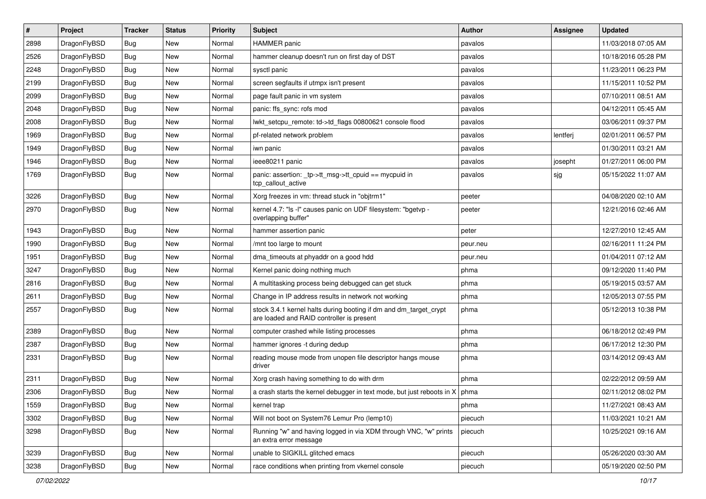| $\sharp$ | Project      | <b>Tracker</b> | <b>Status</b> | <b>Priority</b> | Subject                                                                                                        | <b>Author</b> | Assignee | <b>Updated</b>      |
|----------|--------------|----------------|---------------|-----------------|----------------------------------------------------------------------------------------------------------------|---------------|----------|---------------------|
| 2898     | DragonFlyBSD | <b>Bug</b>     | New           | Normal          | <b>HAMMER</b> panic                                                                                            | pavalos       |          | 11/03/2018 07:05 AM |
| 2526     | DragonFlyBSD | <b>Bug</b>     | New           | Normal          | hammer cleanup doesn't run on first day of DST                                                                 | pavalos       |          | 10/18/2016 05:28 PM |
| 2248     | DragonFlyBSD | <b>Bug</b>     | New           | Normal          | sysctl panic                                                                                                   | pavalos       |          | 11/23/2011 06:23 PM |
| 2199     | DragonFlyBSD | <b>Bug</b>     | New           | Normal          | screen segfaults if utmpx isn't present                                                                        | pavalos       |          | 11/15/2011 10:52 PM |
| 2099     | DragonFlyBSD | <b>Bug</b>     | New           | Normal          | page fault panic in vm system                                                                                  | pavalos       |          | 07/10/2011 08:51 AM |
| 2048     | DragonFlyBSD | <b>Bug</b>     | <b>New</b>    | Normal          | panic: ffs sync: rofs mod                                                                                      | pavalos       |          | 04/12/2011 05:45 AM |
| 2008     | DragonFlyBSD | <b>Bug</b>     | New           | Normal          | lwkt_setcpu_remote: td->td_flags 00800621 console flood                                                        | pavalos       |          | 03/06/2011 09:37 PM |
| 1969     | DragonFlyBSD | <b>Bug</b>     | <b>New</b>    | Normal          | pf-related network problem                                                                                     | pavalos       | lentferj | 02/01/2011 06:57 PM |
| 1949     | DragonFlyBSD | <b>Bug</b>     | New           | Normal          | iwn panic                                                                                                      | pavalos       |          | 01/30/2011 03:21 AM |
| 1946     | DragonFlyBSD | <b>Bug</b>     | <b>New</b>    | Normal          | ieee80211 panic                                                                                                | pavalos       | josepht  | 01/27/2011 06:00 PM |
| 1769     | DragonFlyBSD | <b>Bug</b>     | New           | Normal          | panic: assertion: _tp->tt_msg->tt_cpuid == mycpuid in<br>tcp_callout_active                                    | pavalos       | sjg      | 05/15/2022 11:07 AM |
| 3226     | DragonFlyBSD | <b>Bug</b>     | <b>New</b>    | Normal          | Xorg freezes in vm: thread stuck in "objtrm1"                                                                  | peeter        |          | 04/08/2020 02:10 AM |
| 2970     | DragonFlyBSD | <b>Bug</b>     | <b>New</b>    | Normal          | kernel 4.7: "Is -I" causes panic on UDF filesystem: "bgetvp -<br>overlapping buffer"                           | peeter        |          | 12/21/2016 02:46 AM |
| 1943     | DragonFlyBSD | <b>Bug</b>     | <b>New</b>    | Normal          | hammer assertion panic                                                                                         | peter         |          | 12/27/2010 12:45 AM |
| 1990     | DragonFlyBSD | <b>Bug</b>     | New           | Normal          | /mnt too large to mount                                                                                        | peur.neu      |          | 02/16/2011 11:24 PM |
| 1951     | DragonFlyBSD | <b>Bug</b>     | <b>New</b>    | Normal          | dma timeouts at phyaddr on a good hdd                                                                          | peur.neu      |          | 01/04/2011 07:12 AM |
| 3247     | DragonFlyBSD | <b>Bug</b>     | New           | Normal          | Kernel panic doing nothing much                                                                                | phma          |          | 09/12/2020 11:40 PM |
| 2816     | DragonFlyBSD | <b>Bug</b>     | New           | Normal          | A multitasking process being debugged can get stuck                                                            | phma          |          | 05/19/2015 03:57 AM |
| 2611     | DragonFlyBSD | <b>Bug</b>     | New           | Normal          | Change in IP address results in network not working                                                            | phma          |          | 12/05/2013 07:55 PM |
| 2557     | DragonFlyBSD | <b>Bug</b>     | New           | Normal          | stock 3.4.1 kernel halts during booting if dm and dm_target_crypt<br>are loaded and RAID controller is present | phma          |          | 05/12/2013 10:38 PM |
| 2389     | DragonFlyBSD | <b>Bug</b>     | New           | Normal          | computer crashed while listing processes                                                                       | phma          |          | 06/18/2012 02:49 PM |
| 2387     | DragonFlyBSD | <b>Bug</b>     | New           | Normal          | hammer ignores -t during dedup                                                                                 | phma          |          | 06/17/2012 12:30 PM |
| 2331     | DragonFlyBSD | <b>Bug</b>     | New           | Normal          | reading mouse mode from unopen file descriptor hangs mouse<br>driver                                           | phma          |          | 03/14/2012 09:43 AM |
| 2311     | DragonFlyBSD | <b>Bug</b>     | New           | Normal          | Xorg crash having something to do with drm                                                                     | phma          |          | 02/22/2012 09:59 AM |
| 2306     | DragonFlyBSD | Bug            | New           | Normal          | a crash starts the kernel debugger in text mode, but just reboots in $X \mid p$ hma                            |               |          | 02/11/2012 08:02 PM |
| 1559     | DragonFlyBSD | <b>Bug</b>     | New           | Normal          | kernel trap                                                                                                    | phma          |          | 11/27/2021 08:43 AM |
| 3302     | DragonFlyBSD | <b>Bug</b>     | <b>New</b>    | Normal          | Will not boot on System76 Lemur Pro (lemp10)                                                                   | piecuch       |          | 11/03/2021 10:21 AM |
| 3298     | DragonFlyBSD | <b>Bug</b>     | <b>New</b>    | Normal          | Running "w" and having logged in via XDM through VNC, "w" prints<br>an extra error message                     | piecuch       |          | 10/25/2021 09:16 AM |
| 3239     | DragonFlyBSD | Bug            | <b>New</b>    | Normal          | unable to SIGKILL glitched emacs                                                                               | piecuch       |          | 05/26/2020 03:30 AM |
| 3238     | DragonFlyBSD | Bug            | New           | Normal          | race conditions when printing from vkernel console                                                             | piecuch       |          | 05/19/2020 02:50 PM |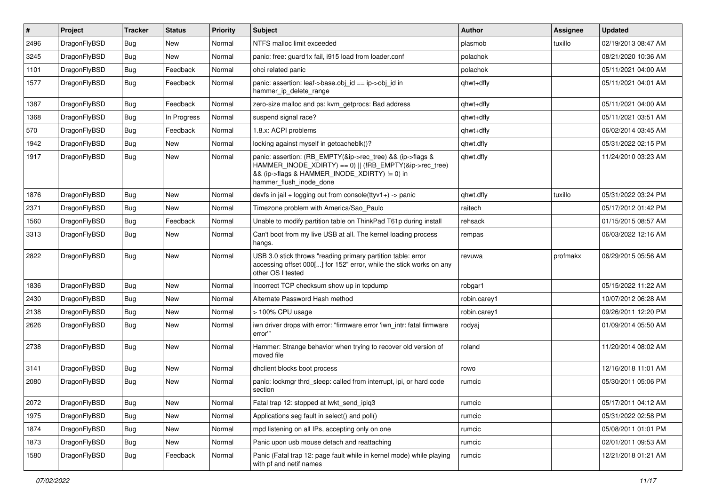| $\vert$ # | Project      | <b>Tracker</b> | <b>Status</b> | <b>Priority</b> | <b>Subject</b>                                                                                                                                                                                    | Author       | Assignee | <b>Updated</b>      |
|-----------|--------------|----------------|---------------|-----------------|---------------------------------------------------------------------------------------------------------------------------------------------------------------------------------------------------|--------------|----------|---------------------|
| 2496      | DragonFlyBSD | Bug            | <b>New</b>    | Normal          | NTFS malloc limit exceeded                                                                                                                                                                        | plasmob      | tuxillo  | 02/19/2013 08:47 AM |
| 3245      | DragonFlyBSD | <b>Bug</b>     | <b>New</b>    | Normal          | panic: free: guard1x fail, i915 load from loader.conf                                                                                                                                             | polachok     |          | 08/21/2020 10:36 AM |
| 1101      | DragonFlyBSD | <b>Bug</b>     | Feedback      | Normal          | ohci related panic                                                                                                                                                                                | polachok     |          | 05/11/2021 04:00 AM |
| 1577      | DragonFlyBSD | <b>Bug</b>     | Feedback      | Normal          | panic: assertion: leaf->base.obj_id == ip->obj_id in<br>hammer_ip_delete_range                                                                                                                    | qhwt+dfly    |          | 05/11/2021 04:01 AM |
| 1387      | DragonFlyBSD | <b>Bug</b>     | Feedback      | Normal          | zero-size malloc and ps: kvm getprocs: Bad address                                                                                                                                                | qhwt+dfly    |          | 05/11/2021 04:00 AM |
| 1368      | DragonFlyBSD | Bug            | In Progress   | Normal          | suspend signal race?                                                                                                                                                                              | qhwt+dfly    |          | 05/11/2021 03:51 AM |
| 570       | DragonFlyBSD | <b>Bug</b>     | Feedback      | Normal          | 1.8.x: ACPI problems                                                                                                                                                                              | qhwt+dfly    |          | 06/02/2014 03:45 AM |
| 1942      | DragonFlyBSD | Bug            | <b>New</b>    | Normal          | locking against myself in getcacheblk()?                                                                                                                                                          | qhwt.dfly    |          | 05/31/2022 02:15 PM |
| 1917      | DragonFlyBSD | <b>Bug</b>     | New           | Normal          | panic: assertion: (RB_EMPTY(&ip->rec_tree) && (ip->flags &<br>HAMMER_INODE_XDIRTY) == 0)    (!RB_EMPTY(&ip->rec_tree)<br>&& (ip->flags & HAMMER_INODE_XDIRTY) != 0) in<br>hammer_flush_inode_done | qhwt.dfly    |          | 11/24/2010 03:23 AM |
| 1876      | DragonFlyBSD | <b>Bug</b>     | <b>New</b>    | Normal          | devfs in jail + logging out from console( $t$ tyv1+) -> panic                                                                                                                                     | qhwt.dfly    | tuxillo  | 05/31/2022 03:24 PM |
| 2371      | DragonFlyBSD | Bug            | <b>New</b>    | Normal          | Timezone problem with America/Sao Paulo                                                                                                                                                           | raitech      |          | 05/17/2012 01:42 PM |
| 1560      | DragonFlyBSD | <b>Bug</b>     | Feedback      | Normal          | Unable to modify partition table on ThinkPad T61p during install                                                                                                                                  | rehsack      |          | 01/15/2015 08:57 AM |
| 3313      | DragonFlyBSD | Bug            | New           | Normal          | Can't boot from my live USB at all. The kernel loading process<br>hangs.                                                                                                                          | rempas       |          | 06/03/2022 12:16 AM |
| 2822      | DragonFlyBSD | <b>Bug</b>     | New           | Normal          | USB 3.0 stick throws "reading primary partition table: error<br>accessing offset 000[] for 152" error, while the stick works on any<br>other OS I tested                                          | revuwa       | profmakx | 06/29/2015 05:56 AM |
| 1836      | DragonFlyBSD | <b>Bug</b>     | <b>New</b>    | Normal          | Incorrect TCP checksum show up in tcpdump                                                                                                                                                         | robgar1      |          | 05/15/2022 11:22 AM |
| 2430      | DragonFlyBSD | Bug            | New           | Normal          | Alternate Password Hash method                                                                                                                                                                    | robin.carey1 |          | 10/07/2012 06:28 AM |
| 2138      | DragonFlyBSD | Bug            | <b>New</b>    | Normal          | > 100% CPU usage                                                                                                                                                                                  | robin.carey1 |          | 09/26/2011 12:20 PM |
| 2626      | DragonFlyBSD | Bug            | New           | Normal          | iwn driver drops with error: "firmware error 'iwn intr: fatal firmware<br>error""                                                                                                                 | rodyaj       |          | 01/09/2014 05:50 AM |
| 2738      | DragonFlyBSD | <b>Bug</b>     | New           | Normal          | Hammer: Strange behavior when trying to recover old version of<br>moved file                                                                                                                      | roland       |          | 11/20/2014 08:02 AM |
| 3141      | DragonFlyBSD | Bug            | <b>New</b>    | Normal          | dhclient blocks boot process                                                                                                                                                                      | rowo         |          | 12/16/2018 11:01 AM |
| 2080      | DragonFlyBSD | <b>Bug</b>     | <b>New</b>    | Normal          | panic: lockmgr thrd sleep: called from interrupt, ipi, or hard code<br>section                                                                                                                    | rumcic       |          | 05/30/2011 05:06 PM |
| 2072      | DragonFlyBSD | Bug            | New           | Normal          | Fatal trap 12: stopped at lwkt_send_ipiq3                                                                                                                                                         | rumcic       |          | 05/17/2011 04:12 AM |
| 1975      | DragonFlyBSD | <b>Bug</b>     | New           | Normal          | Applications seg fault in select() and poll()                                                                                                                                                     | rumcic       |          | 05/31/2022 02:58 PM |
| 1874      | DragonFlyBSD | Bug            | New           | Normal          | mpd listening on all IPs, accepting only on one                                                                                                                                                   | rumcic       |          | 05/08/2011 01:01 PM |
| 1873      | DragonFlyBSD | <b>Bug</b>     | New           | Normal          | Panic upon usb mouse detach and reattaching                                                                                                                                                       | rumcic       |          | 02/01/2011 09:53 AM |
| 1580      | DragonFlyBSD | <b>Bug</b>     | Feedback      | Normal          | Panic (Fatal trap 12: page fault while in kernel mode) while playing<br>with pf and netif names                                                                                                   | rumcic       |          | 12/21/2018 01:21 AM |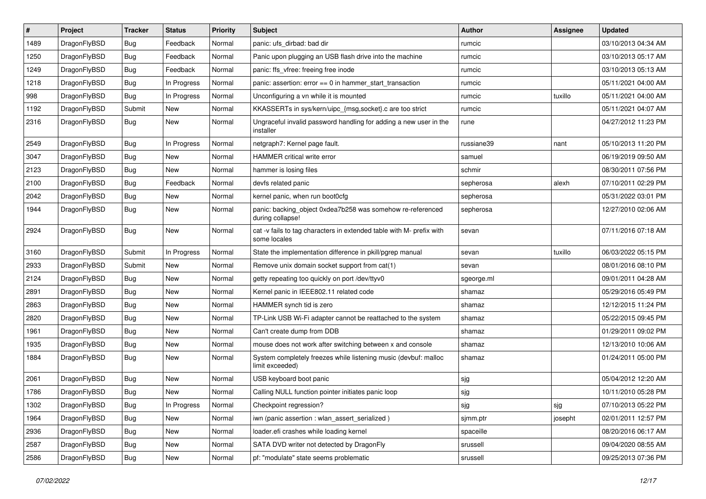| #    | Project      | <b>Tracker</b> | <b>Status</b> | <b>Priority</b> | <b>Subject</b>                                                                       | <b>Author</b> | Assignee | <b>Updated</b>      |
|------|--------------|----------------|---------------|-----------------|--------------------------------------------------------------------------------------|---------------|----------|---------------------|
| 1489 | DragonFlyBSD | Bug            | Feedback      | Normal          | panic: ufs_dirbad: bad dir                                                           | rumcic        |          | 03/10/2013 04:34 AM |
| 1250 | DragonFlyBSD | <b>Bug</b>     | Feedback      | Normal          | Panic upon plugging an USB flash drive into the machine                              | rumcic        |          | 03/10/2013 05:17 AM |
| 1249 | DragonFlyBSD | <b>Bug</b>     | Feedback      | Normal          | panic: ffs vfree: freeing free inode                                                 | rumcic        |          | 03/10/2013 05:13 AM |
| 1218 | DragonFlyBSD | Bug            | In Progress   | Normal          | panic: assertion: error == 0 in hammer_start_transaction                             | rumcic        |          | 05/11/2021 04:00 AM |
| 998  | DragonFlyBSD | Bug            | In Progress   | Normal          | Unconfiguring a vn while it is mounted                                               | rumcic        | tuxillo  | 05/11/2021 04:00 AM |
| 1192 | DragonFlyBSD | Submit         | <b>New</b>    | Normal          | KKASSERTs in sys/kern/uipc_{msg,socket}.c are too strict                             | rumcic        |          | 05/11/2021 04:07 AM |
| 2316 | DragonFlyBSD | Bug            | <b>New</b>    | Normal          | Ungraceful invalid password handling for adding a new user in the<br>installer       | rune          |          | 04/27/2012 11:23 PM |
| 2549 | DragonFlyBSD | <b>Bug</b>     | In Progress   | Normal          | netgraph7: Kernel page fault.                                                        | russiane39    | nant     | 05/10/2013 11:20 PM |
| 3047 | DragonFlyBSD | <b>Bug</b>     | <b>New</b>    | Normal          | HAMMER critical write error                                                          | samuel        |          | 06/19/2019 09:50 AM |
| 2123 | DragonFlyBSD | <b>Bug</b>     | <b>New</b>    | Normal          | hammer is losing files                                                               | schmir        |          | 08/30/2011 07:56 PM |
| 2100 | DragonFlyBSD | Bug            | Feedback      | Normal          | devfs related panic                                                                  | sepherosa     | alexh    | 07/10/2011 02:29 PM |
| 2042 | DragonFlyBSD | <b>Bug</b>     | <b>New</b>    | Normal          | kernel panic, when run boot0cfg                                                      | sepherosa     |          | 05/31/2022 03:01 PM |
| 1944 | DragonFlyBSD | Bug            | <b>New</b>    | Normal          | panic: backing_object 0xdea7b258 was somehow re-referenced<br>during collapse!       | sepherosa     |          | 12/27/2010 02:06 AM |
| 2924 | DragonFlyBSD | <b>Bug</b>     | <b>New</b>    | Normal          | cat -v fails to tag characters in extended table with M- prefix with<br>some locales | sevan         |          | 07/11/2016 07:18 AM |
| 3160 | DragonFlyBSD | Submit         | In Progress   | Normal          | State the implementation difference in pkill/pgrep manual                            | sevan         | tuxillo  | 06/03/2022 05:15 PM |
| 2933 | DragonFlyBSD | Submit         | <b>New</b>    | Normal          | Remove unix domain socket support from cat(1)                                        | sevan         |          | 08/01/2016 08:10 PM |
| 2124 | DragonFlyBSD | Bug            | <b>New</b>    | Normal          | getty repeating too quickly on port /dev/ttyv0                                       | sgeorge.ml    |          | 09/01/2011 04:28 AM |
| 2891 | DragonFlyBSD | Bug            | <b>New</b>    | Normal          | Kernel panic in IEEE802.11 related code                                              | shamaz        |          | 05/29/2016 05:49 PM |
| 2863 | DragonFlyBSD | <b>Bug</b>     | <b>New</b>    | Normal          | HAMMER synch tid is zero                                                             | shamaz        |          | 12/12/2015 11:24 PM |
| 2820 | DragonFlyBSD | <b>Bug</b>     | <b>New</b>    | Normal          | TP-Link USB Wi-Fi adapter cannot be reattached to the system                         | shamaz        |          | 05/22/2015 09:45 PM |
| 1961 | DragonFlyBSD | <b>Bug</b>     | <b>New</b>    | Normal          | Can't create dump from DDB                                                           | shamaz        |          | 01/29/2011 09:02 PM |
| 1935 | DragonFlyBSD | <b>Bug</b>     | <b>New</b>    | Normal          | mouse does not work after switching between x and console                            | shamaz        |          | 12/13/2010 10:06 AM |
| 1884 | DragonFlyBSD | <b>Bug</b>     | <b>New</b>    | Normal          | System completely freezes while listening music (devbuf: malloc<br>limit exceeded)   | shamaz        |          | 01/24/2011 05:00 PM |
| 2061 | DragonFlyBSD | Bug            | <b>New</b>    | Normal          | USB keyboard boot panic                                                              | sjg           |          | 05/04/2012 12:20 AM |
| 1786 | DragonFlyBSD | <b>Bug</b>     | <b>New</b>    | Normal          | Calling NULL function pointer initiates panic loop                                   | sjg           |          | 10/11/2010 05:28 PM |
| 1302 | DragonFlyBSD | <b>Bug</b>     | In Progress   | Normal          | Checkpoint regression?                                                               | sjg           | sjg      | 07/10/2013 05:22 PM |
| 1964 | DragonFlyBSD | Bug            | New           | Normal          | iwn (panic assertion : wlan_assert_serialized)                                       | sjmm.ptr      | josepht  | 02/01/2011 12:57 PM |
| 2936 | DragonFlyBSD | <b>Bug</b>     | New           | Normal          | loader.efi crashes while loading kernel                                              | spaceille     |          | 08/20/2016 06:17 AM |
| 2587 | DragonFlyBSD | <b>Bug</b>     | New           | Normal          | SATA DVD writer not detected by DragonFly                                            | srussell      |          | 09/04/2020 08:55 AM |
| 2586 | DragonFlyBSD | <b>Bug</b>     | New           | Normal          | pf: "modulate" state seems problematic                                               | srussell      |          | 09/25/2013 07:36 PM |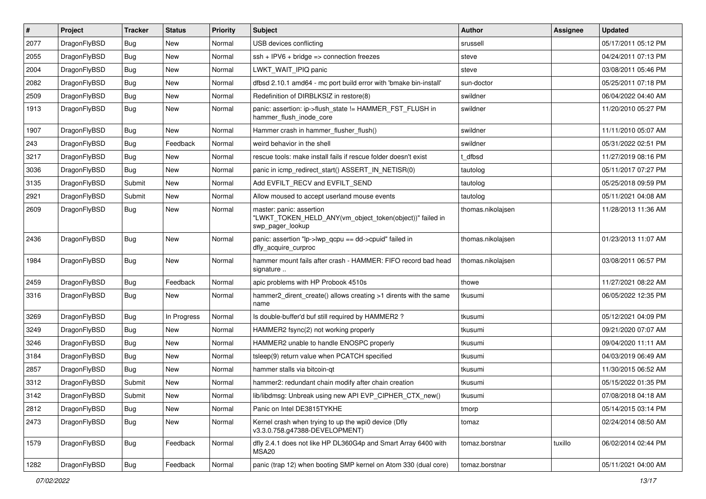| $\sharp$ | Project      | <b>Tracker</b> | <b>Status</b> | <b>Priority</b> | Subject                                                                                                  | <b>Author</b>     | Assignee | <b>Updated</b>      |
|----------|--------------|----------------|---------------|-----------------|----------------------------------------------------------------------------------------------------------|-------------------|----------|---------------------|
| 2077     | DragonFlyBSD | <b>Bug</b>     | New           | Normal          | USB devices conflicting                                                                                  | srussell          |          | 05/17/2011 05:12 PM |
| 2055     | DragonFlyBSD | <b>Bug</b>     | New           | Normal          | $ssh + IPV6 + bridge \Rightarrow connection freezes$                                                     | steve             |          | 04/24/2011 07:13 PM |
| 2004     | DragonFlyBSD | <b>Bug</b>     | New           | Normal          | LWKT_WAIT_IPIQ panic                                                                                     | steve             |          | 03/08/2011 05:46 PM |
| 2082     | DragonFlyBSD | <b>Bug</b>     | New           | Normal          | dfbsd 2.10.1 amd64 - mc port build error with 'bmake bin-install'                                        | sun-doctor        |          | 05/25/2011 07:18 PM |
| 2509     | DragonFlyBSD | <b>Bug</b>     | <b>New</b>    | Normal          | Redefinition of DIRBLKSIZ in restore(8)                                                                  | swildner          |          | 06/04/2022 04:40 AM |
| 1913     | DragonFlyBSD | <b>Bug</b>     | New           | Normal          | panic: assertion: ip->flush state != HAMMER FST FLUSH in<br>hammer_flush_inode_core                      | swildner          |          | 11/20/2010 05:27 PM |
| 1907     | DragonFlyBSD | <b>Bug</b>     | <b>New</b>    | Normal          | Hammer crash in hammer_flusher_flush()                                                                   | swildner          |          | 11/11/2010 05:07 AM |
| 243      | DragonFlyBSD | <b>Bug</b>     | Feedback      | Normal          | weird behavior in the shell                                                                              | swildner          |          | 05/31/2022 02:51 PM |
| 3217     | DragonFlyBSD | <b>Bug</b>     | <b>New</b>    | Normal          | rescue tools: make install fails if rescue folder doesn't exist                                          | t_dfbsd           |          | 11/27/2019 08:16 PM |
| 3036     | DragonFlyBSD | <b>Bug</b>     | <b>New</b>    | Normal          | panic in icmp redirect start() ASSERT IN NETISR(0)                                                       | tautolog          |          | 05/11/2017 07:27 PM |
| 3135     | DragonFlyBSD | Submit         | New           | Normal          | Add EVFILT_RECV and EVFILT_SEND                                                                          | tautolog          |          | 05/25/2018 09:59 PM |
| 2921     | DragonFlyBSD | Submit         | New           | Normal          | Allow moused to accept userland mouse events                                                             | tautolog          |          | 05/11/2021 04:08 AM |
| 2609     | DragonFlyBSD | <b>Bug</b>     | New           | Normal          | master: panic: assertion<br>"LWKT_TOKEN_HELD_ANY(vm_object_token(object))" failed in<br>swp pager lookup | thomas.nikolajsen |          | 11/28/2013 11:36 AM |
| 2436     | DragonFlyBSD | <b>Bug</b>     | New           | Normal          | panic: assertion "lp->lwp_qcpu == dd->cpuid" failed in<br>dfly_acquire_curproc                           | thomas.nikolajsen |          | 01/23/2013 11:07 AM |
| 1984     | DragonFlyBSD | <b>Bug</b>     | New           | Normal          | hammer mount fails after crash - HAMMER: FIFO record bad head<br>signature                               | thomas.nikolajsen |          | 03/08/2011 06:57 PM |
| 2459     | DragonFlyBSD | Bug            | Feedback      | Normal          | apic problems with HP Probook 4510s                                                                      | thowe             |          | 11/27/2021 08:22 AM |
| 3316     | DragonFlyBSD | <b>Bug</b>     | New           | Normal          | hammer2 dirent create() allows creating >1 dirents with the same<br>name                                 | tkusumi           |          | 06/05/2022 12:35 PM |
| 3269     | DragonFlyBSD | <b>Bug</b>     | In Progress   | Normal          | Is double-buffer'd buf still required by HAMMER2?                                                        | tkusumi           |          | 05/12/2021 04:09 PM |
| 3249     | DragonFlyBSD | <b>Bug</b>     | <b>New</b>    | Normal          | HAMMER2 fsync(2) not working properly                                                                    | tkusumi           |          | 09/21/2020 07:07 AM |
| 3246     | DragonFlyBSD | <b>Bug</b>     | New           | Normal          | HAMMER2 unable to handle ENOSPC properly                                                                 | tkusumi           |          | 09/04/2020 11:11 AM |
| 3184     | DragonFlyBSD | <b>Bug</b>     | <b>New</b>    | Normal          | tsleep(9) return value when PCATCH specified                                                             | tkusumi           |          | 04/03/2019 06:49 AM |
| 2857     | DragonFlyBSD | <b>Bug</b>     | New           | Normal          | hammer stalls via bitcoin-gt                                                                             | tkusumi           |          | 11/30/2015 06:52 AM |
| 3312     | DragonFlyBSD | Submit         | New           | Normal          | hammer2: redundant chain modify after chain creation                                                     | tkusumi           |          | 05/15/2022 01:35 PM |
| 3142     | DragonFlyBSD | Submit         | <b>New</b>    | Normal          | lib/libdmsg: Unbreak using new API EVP CIPHER CTX new()                                                  | tkusumi           |          | 07/08/2018 04:18 AM |
| 2812     | DragonFlyBSD | <b>Bug</b>     | New           | Normal          | Panic on Intel DE3815TYKHE                                                                               | tmorp             |          | 05/14/2015 03:14 PM |
| 2473     | DragonFlyBSD | <b>Bug</b>     | New           | Normal          | Kernel crash when trying to up the wpi0 device (Dfly<br>v3.3.0.758.g47388-DEVELOPMENT)                   | tomaz             |          | 02/24/2014 08:50 AM |
| 1579     | DragonFlyBSD | <b>Bug</b>     | Feedback      | Normal          | dfly 2.4.1 does not like HP DL360G4p and Smart Array 6400 with<br>MSA20                                  | tomaz.borstnar    | tuxillo  | 06/02/2014 02:44 PM |
| 1282     | DragonFlyBSD | Bug            | Feedback      | Normal          | panic (trap 12) when booting SMP kernel on Atom 330 (dual core)                                          | tomaz.borstnar    |          | 05/11/2021 04:00 AM |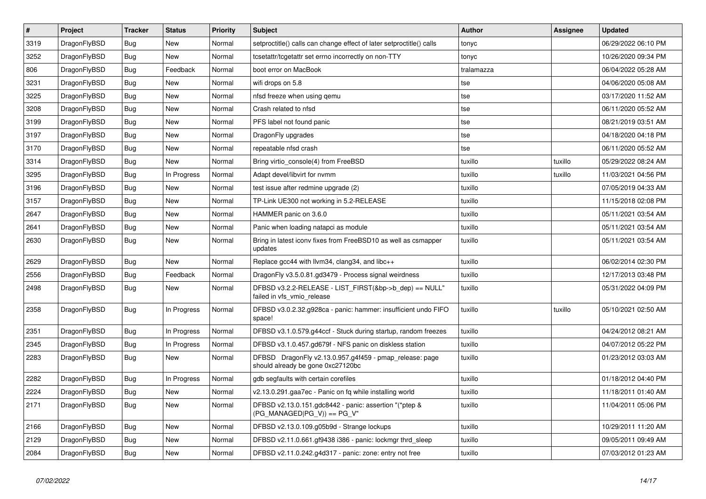| $\vert$ # | <b>Project</b> | <b>Tracker</b> | <b>Status</b> | Priority | <b>Subject</b>                                                                               | Author     | Assignee | <b>Updated</b>      |
|-----------|----------------|----------------|---------------|----------|----------------------------------------------------------------------------------------------|------------|----------|---------------------|
| 3319      | DragonFlyBSD   | Bug            | <b>New</b>    | Normal   | setproctitle() calls can change effect of later setproctitle() calls                         | tonyc      |          | 06/29/2022 06:10 PM |
| 3252      | DragonFlyBSD   | Bug            | New           | Normal   | tcsetattr/tcgetattr set errno incorrectly on non-TTY                                         | tonyc      |          | 10/26/2020 09:34 PM |
| 806       | DragonFlyBSD   | <b>Bug</b>     | Feedback      | Normal   | boot error on MacBook                                                                        | tralamazza |          | 06/04/2022 05:28 AM |
| 3231      | DragonFlyBSD   | Bug            | New           | Normal   | wifi drops on 5.8                                                                            | tse        |          | 04/06/2020 05:08 AM |
| 3225      | DragonFlyBSD   | Bug            | <b>New</b>    | Normal   | nfsd freeze when using gemu                                                                  | tse        |          | 03/17/2020 11:52 AM |
| 3208      | DragonFlyBSD   | <b>Bug</b>     | <b>New</b>    | Normal   | Crash related to nfsd                                                                        | tse        |          | 06/11/2020 05:52 AM |
| 3199      | DragonFlyBSD   | <b>Bug</b>     | New           | Normal   | PFS label not found panic                                                                    | tse        |          | 08/21/2019 03:51 AM |
| 3197      | DragonFlyBSD   | Bug            | New           | Normal   | DragonFly upgrades                                                                           | tse        |          | 04/18/2020 04:18 PM |
| 3170      | DragonFlyBSD   | <b>Bug</b>     | New           | Normal   | repeatable nfsd crash                                                                        | tse        |          | 06/11/2020 05:52 AM |
| 3314      | DragonFlyBSD   | Bug            | New           | Normal   | Bring virtio console(4) from FreeBSD                                                         | tuxillo    | tuxillo  | 05/29/2022 08:24 AM |
| 3295      | DragonFlyBSD   | <b>Bug</b>     | In Progress   | Normal   | Adapt devel/libvirt for nvmm                                                                 | tuxillo    | tuxillo  | 11/03/2021 04:56 PM |
| 3196      | DragonFlyBSD   | <b>Bug</b>     | <b>New</b>    | Normal   | test issue after redmine upgrade (2)                                                         | tuxillo    |          | 07/05/2019 04:33 AM |
| 3157      | DragonFlyBSD   | Bug            | New           | Normal   | TP-Link UE300 not working in 5.2-RELEASE                                                     | tuxillo    |          | 11/15/2018 02:08 PM |
| 2647      | DragonFlyBSD   | Bug            | New           | Normal   | HAMMER panic on 3.6.0                                                                        | tuxillo    |          | 05/11/2021 03:54 AM |
| 2641      | DragonFlyBSD   | <b>Bug</b>     | New           | Normal   | Panic when loading natapci as module                                                         | tuxillo    |          | 05/11/2021 03:54 AM |
| 2630      | DragonFlyBSD   | <b>Bug</b>     | <b>New</b>    | Normal   | Bring in latest iconv fixes from FreeBSD10 as well as csmapper<br>updates                    | tuxillo    |          | 05/11/2021 03:54 AM |
| 2629      | DragonFlyBSD   | Bug            | New           | Normal   | Replace gcc44 with llvm34, clang34, and libc++                                               | tuxillo    |          | 06/02/2014 02:30 PM |
| 2556      | DragonFlyBSD   | Bug            | Feedback      | Normal   | DragonFly v3.5.0.81.gd3479 - Process signal weirdness                                        | tuxillo    |          | 12/17/2013 03:48 PM |
| 2498      | DragonFlyBSD   | <b>Bug</b>     | <b>New</b>    | Normal   | DFBSD v3.2.2-RELEASE - LIST_FIRST(&bp->b_dep) == NULL"<br>failed in vfs vmio release         | tuxillo    |          | 05/31/2022 04:09 PM |
| 2358      | DragonFlyBSD   | Bug            | In Progress   | Normal   | DFBSD v3.0.2.32.g928ca - panic: hammer: insufficient undo FIFO<br>space!                     | tuxillo    | tuxillo  | 05/10/2021 02:50 AM |
| 2351      | DragonFlyBSD   | <b>Bug</b>     | In Progress   | Normal   | DFBSD v3.1.0.579.g44ccf - Stuck during startup, random freezes                               | tuxillo    |          | 04/24/2012 08:21 AM |
| 2345      | DragonFlyBSD   | Bug            | In Progress   | Normal   | DFBSD v3.1.0.457.gd679f - NFS panic on diskless station                                      | tuxillo    |          | 04/07/2012 05:22 PM |
| 2283      | DragonFlyBSD   | <b>Bug</b>     | <b>New</b>    | Normal   | DFBSD DragonFly v2.13.0.957.g4f459 - pmap_release: page<br>should already be gone 0xc27120bc | tuxillo    |          | 01/23/2012 03:03 AM |
| 2282      | DragonFlyBSD   | <b>Bug</b>     | In Progress   | Normal   | gdb segfaults with certain corefiles                                                         | tuxillo    |          | 01/18/2012 04:40 PM |
| 2224      | DragonFlyBSD   | Bug            | <b>New</b>    | Normal   | v2.13.0.291.gaa7ec - Panic on fq while installing world                                      | tuxillo    |          | 11/18/2011 01:40 AM |
| 2171      | DragonFlyBSD   | Bug            | New           | Normal   | DFBSD v2.13.0.151.gdc8442 - panic: assertion "(*ptep &<br>(PG_MANAGED PG_V)) == PG_V"        | tuxillo    |          | 11/04/2011 05:06 PM |
| 2166      | DragonFlyBSD   | Bug            | New           | Normal   | DFBSD v2.13.0.109.g05b9d - Strange lockups                                                   | tuxillo    |          | 10/29/2011 11:20 AM |
| 2129      | DragonFlyBSD   | Bug            | New           | Normal   | DFBSD v2.11.0.661.gf9438 i386 - panic: lockmgr thrd sleep                                    | tuxillo    |          | 09/05/2011 09:49 AM |
| 2084      | DragonFlyBSD   | Bug            | <b>New</b>    | Normal   | DFBSD v2.11.0.242.g4d317 - panic: zone: entry not free                                       | tuxillo    |          | 07/03/2012 01:23 AM |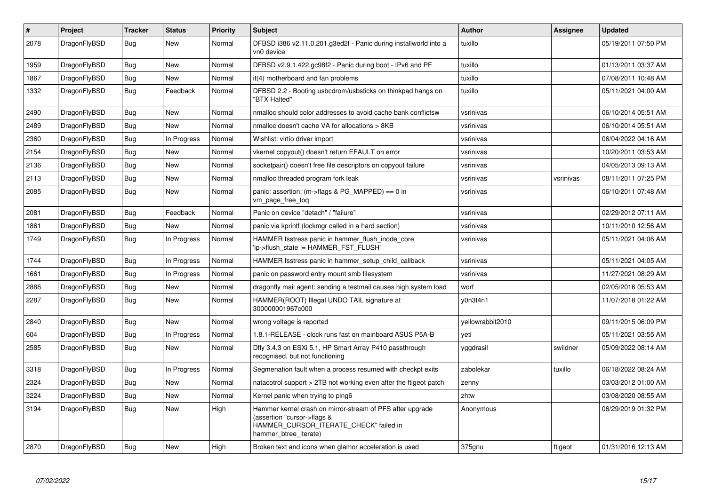| #    | Project      | Tracker    | <b>Status</b> | <b>Priority</b> | <b>Subject</b>                                                                                                                                              | <b>Author</b>    | Assignee  | Updated             |
|------|--------------|------------|---------------|-----------------|-------------------------------------------------------------------------------------------------------------------------------------------------------------|------------------|-----------|---------------------|
| 2078 | DragonFlyBSD | Bug        | New           | Normal          | DFBSD i386 v2.11.0.201.g3ed2f - Panic during installworld into a<br>vn0 device                                                                              | tuxillo          |           | 05/19/2011 07:50 PM |
| 1959 | DragonFlyBSD | Bug        | New           | Normal          | DFBSD v2.9.1.422.gc98f2 - Panic during boot - IPv6 and PF                                                                                                   | tuxillo          |           | 01/13/2011 03:37 AM |
| 1867 | DragonFlyBSD | <b>Bug</b> | New           | Normal          | it(4) motherboard and fan problems                                                                                                                          | tuxillo          |           | 07/08/2011 10:48 AM |
| 1332 | DragonFlyBSD | <b>Bug</b> | Feedback      | Normal          | DFBSD 2.2 - Booting usbcdrom/usbsticks on thinkpad hangs on<br>"BTX Halted"                                                                                 | tuxillo          |           | 05/11/2021 04:00 AM |
| 2490 | DragonFlyBSD | Bug        | <b>New</b>    | Normal          | nmalloc should color addresses to avoid cache bank conflictsw                                                                                               | vsrinivas        |           | 06/10/2014 05:51 AM |
| 2489 | DragonFlyBSD | <b>Bug</b> | <b>New</b>    | Normal          | nmalloc doesn't cache VA for allocations > 8KB                                                                                                              | vsrinivas        |           | 06/10/2014 05:51 AM |
| 2360 | DragonFlyBSD | Bug        | In Progress   | Normal          | Wishlist: virtio driver import                                                                                                                              | vsrinivas        |           | 06/04/2022 04:16 AM |
| 2154 | DragonFlyBSD | Bug        | <b>New</b>    | Normal          | vkernel copyout() doesn't return EFAULT on error                                                                                                            | vsrinivas        |           | 10/20/2011 03:53 AM |
| 2136 | DragonFlyBSD | <b>Bug</b> | <b>New</b>    | Normal          | socketpair() doesn't free file descriptors on copyout failure                                                                                               | vsrinivas        |           | 04/05/2013 09:13 AM |
| 2113 | DragonFlyBSD | <b>Bug</b> | <b>New</b>    | Normal          | nmalloc threaded program fork leak                                                                                                                          | vsrinivas        | vsrinivas | 08/11/2011 07:25 PM |
| 2085 | DragonFlyBSD | Bug        | <b>New</b>    | Normal          | panic: assertion: (m->flags & PG_MAPPED) == 0 in<br>vm_page_free_toq                                                                                        | vsrinivas        |           | 06/10/2011 07:48 AM |
| 2081 | DragonFlyBSD | Bug        | Feedback      | Normal          | Panic on device "detach" / "failure"                                                                                                                        | vsrinivas        |           | 02/29/2012 07:11 AM |
| 1861 | DragonFlyBSD | Bug        | <b>New</b>    | Normal          | panic via kprintf (lockmgr called in a hard section)                                                                                                        | vsrinivas        |           | 10/11/2010 12:56 AM |
| 1749 | DragonFlyBSD | Bug        | In Progress   | Normal          | HAMMER fsstress panic in hammer_flush_inode_core<br>'ip->flush state != HAMMER FST FLUSH'                                                                   | vsrinivas        |           | 05/11/2021 04:06 AM |
| 1744 | DragonFlyBSD | <b>Bug</b> | In Progress   | Normal          | HAMMER fsstress panic in hammer setup child callback                                                                                                        | vsrinivas        |           | 05/11/2021 04:05 AM |
| 1661 | DragonFlyBSD | <b>Bug</b> | In Progress   | Normal          | panic on password entry mount smb filesystem                                                                                                                | vsrinivas        |           | 11/27/2021 08:29 AM |
| 2886 | DragonFlyBSD | Bug        | New           | Normal          | dragonfly mail agent: sending a testmail causes high system load                                                                                            | worf             |           | 02/05/2016 05:53 AM |
| 2287 | DragonFlyBSD | <b>Bug</b> | <b>New</b>    | Normal          | HAMMER(ROOT) Illegal UNDO TAIL signature at<br>300000001967c000                                                                                             | y0n3t4n1         |           | 11/07/2018 01:22 AM |
| 2840 | DragonFlyBSD | <b>Bug</b> | <b>New</b>    | Normal          | wrong voltage is reported                                                                                                                                   | yellowrabbit2010 |           | 09/11/2015 06:09 PM |
| 604  | DragonFlyBSD | <b>Bug</b> | In Progress   | Normal          | 1.8.1-RELEASE - clock runs fast on mainboard ASUS P5A-B                                                                                                     | yeti             |           | 05/11/2021 03:55 AM |
| 2585 | DragonFlyBSD | Bug        | <b>New</b>    | Normal          | Dfly 3.4.3 on ESXi 5.1, HP Smart Array P410 passthrough<br>recognised, but not functioning                                                                  | yggdrasil        | swildner  | 05/09/2022 08:14 AM |
| 3318 | DragonFlyBSD | <b>Bug</b> | In Progress   | Normal          | Segmenation fault when a process resumed with checkpt exits                                                                                                 | zabolekar        | tuxillo   | 06/18/2022 08:24 AM |
| 2324 | DragonFlyBSD | Bug        | <b>New</b>    | Normal          | natacotrol support > 2TB not working even after the ftigeot patch                                                                                           | zenny            |           | 03/03/2012 01:00 AM |
| 3224 | DragonFlyBSD | <b>Bug</b> | <b>New</b>    | Normal          | Kernel panic when trying to ping6                                                                                                                           | zhtw             |           | 03/08/2020 08:55 AM |
| 3194 | DragonFlyBSD | Bug        | <b>New</b>    | High            | Hammer kernel crash on mirror-stream of PFS after upgrade<br>(assertion "cursor->flags &<br>HAMMER_CURSOR_ITERATE_CHECK" failed in<br>hammer btree iterate) | Anonymous        |           | 06/29/2019 01:32 PM |
| 2870 | DragonFlyBSD | Bug        | <b>New</b>    | High            | Broken text and icons when glamor acceleration is used                                                                                                      | 375gnu           | ftigeot   | 01/31/2016 12:13 AM |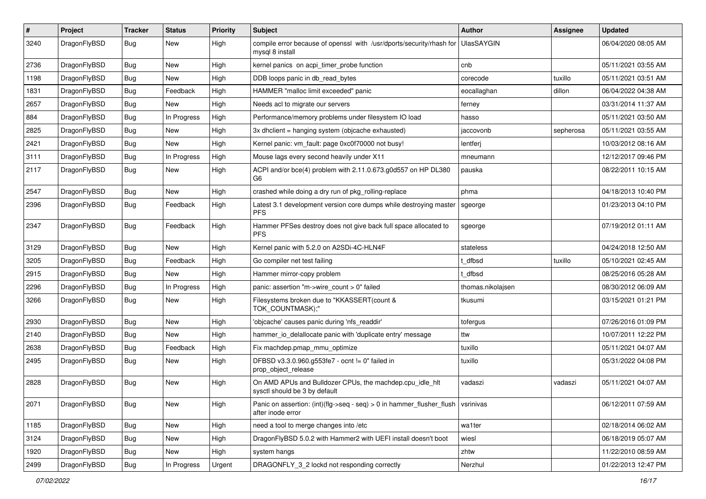| $\vert$ # | Project      | <b>Tracker</b> | <b>Status</b> | <b>Priority</b> | <b>Subject</b>                                                                                                                           | Author            | <b>Assignee</b> | <b>Updated</b>      |
|-----------|--------------|----------------|---------------|-----------------|------------------------------------------------------------------------------------------------------------------------------------------|-------------------|-----------------|---------------------|
| 3240      | DragonFlyBSD | <b>Bug</b>     | New           | High            | compile error because of openssl with /usr/dports/security/rhash for<br>mysql 8 install                                                  | UlasSAYGIN        |                 | 06/04/2020 08:05 AM |
| 2736      | DragonFlyBSD | <b>Bug</b>     | New           | High            | kernel panics on acpi timer probe function                                                                                               | cnb               |                 | 05/11/2021 03:55 AM |
| 1198      | DragonFlyBSD | Bug            | New           | <b>High</b>     | DDB loops panic in db read bytes                                                                                                         | corecode          | tuxillo         | 05/11/2021 03:51 AM |
| 1831      | DragonFlyBSD | <b>Bug</b>     | Feedback      | High            | HAMMER "malloc limit exceeded" panic                                                                                                     | eocallaghan       | dillon          | 06/04/2022 04:38 AM |
| 2657      | DragonFlyBSD | <b>Bug</b>     | New           | High            | Needs acl to migrate our servers                                                                                                         | ferney            |                 | 03/31/2014 11:37 AM |
| 884       | DragonFlyBSD | <b>Bug</b>     | In Progress   | High            | Performance/memory problems under filesystem IO load                                                                                     | hasso             |                 | 05/11/2021 03:50 AM |
| 2825      | DragonFlyBSD | <b>Bug</b>     | New           | High            | 3x dhclient = hanging system (objcache exhausted)                                                                                        | jaccovonb         | sepherosa       | 05/11/2021 03:55 AM |
| 2421      | DragonFlyBSD | Bug            | New           | High            | Kernel panic: vm_fault: page 0xc0f70000 not busy!                                                                                        | lentferj          |                 | 10/03/2012 08:16 AM |
| 3111      | DragonFlyBSD | Bug            | In Progress   | High            | Mouse lags every second heavily under X11                                                                                                | mneumann          |                 | 12/12/2017 09:46 PM |
| 2117      | DragonFlyBSD | <b>Bug</b>     | New           | High            | ACPI and/or bce(4) problem with 2.11.0.673.g0d557 on HP DL380<br>G6                                                                      | pauska            |                 | 08/22/2011 10:15 AM |
| 2547      | DragonFlyBSD | <b>Bug</b>     | New           | High            | crashed while doing a dry run of pkg rolling-replace                                                                                     | phma              |                 | 04/18/2013 10:40 PM |
| 2396      | DragonFlyBSD | <b>Bug</b>     | Feedback      | High            | Latest 3.1 development version core dumps while destroying master<br><b>PFS</b>                                                          | sgeorge           |                 | 01/23/2013 04:10 PM |
| 2347      | DragonFlyBSD | Bug            | Feedback      | High            | Hammer PFSes destroy does not give back full space allocated to<br><b>PFS</b>                                                            | sgeorge           |                 | 07/19/2012 01:11 AM |
| 3129      | DragonFlyBSD | Bug            | New           | High            | Kernel panic with 5.2.0 on A2SDi-4C-HLN4F                                                                                                | stateless         |                 | 04/24/2018 12:50 AM |
| 3205      | DragonFlyBSD | <b>Bug</b>     | Feedback      | High            | Go compiler net test failing                                                                                                             | t dfbsd           | tuxillo         | 05/10/2021 02:45 AM |
| 2915      | DragonFlyBSD | Bug            | New           | High            | Hammer mirror-copy problem                                                                                                               | t dfbsd           |                 | 08/25/2016 05:28 AM |
| 2296      | DragonFlyBSD | Bug            | In Progress   | High            | panic: assertion "m->wire count > 0" failed                                                                                              | thomas.nikolajsen |                 | 08/30/2012 06:09 AM |
| 3266      | DragonFlyBSD | Bug            | New           | High            | Filesystems broken due to "KKASSERT(count &<br>TOK_COUNTMASK);"                                                                          | tkusumi           |                 | 03/15/2021 01:21 PM |
| 2930      | DragonFlyBSD | <b>Bug</b>     | New           | High            | 'objcache' causes panic during 'nfs readdir'                                                                                             | tofergus          |                 | 07/26/2016 01:09 PM |
| 2140      | DragonFlyBSD | Bug            | New           | High            | hammer_io_delallocate panic with 'duplicate entry' message                                                                               | ttw               |                 | 10/07/2011 12:22 PM |
| 2638      | DragonFlyBSD | <b>Bug</b>     | Feedback      | High            | Fix machdep.pmap_mmu_optimize                                                                                                            | tuxillo           |                 | 05/11/2021 04:07 AM |
| 2495      | DragonFlyBSD | <b>Bug</b>     | New           | High            | DFBSD v3.3.0.960.g553fe7 - ocnt != 0" failed in<br>prop_object_release                                                                   | tuxillo           |                 | 05/31/2022 04:08 PM |
| 2828      | DragonFlyBSD | Bug            | <b>New</b>    | High            | On AMD APUs and Bulldozer CPUs, the machdep.cpu_idle_hlt<br>sysctl should be 3 by default                                                | vadaszi           | vadaszi         | 05/11/2021 04:07 AM |
| 2071      | DragonFlyBSD | Bug            | New           | High            | Panic on assertion: $(int)(\text{flg}\text{-}\text{seq}\text{-}\text{seq})$ > 0 in hammer_flusher_flush   vsrinivas<br>after inode error |                   |                 | 06/12/2011 07:59 AM |
| 1185      | DragonFlyBSD | <b>Bug</b>     | New           | High            | need a tool to merge changes into /etc                                                                                                   | wa1ter            |                 | 02/18/2014 06:02 AM |
| 3124      | DragonFlyBSD | Bug            | New           | High            | DragonFlyBSD 5.0.2 with Hammer2 with UEFI install doesn't boot                                                                           | wiesl             |                 | 06/18/2019 05:07 AM |
| 1920      | DragonFlyBSD | <b>Bug</b>     | New           | High            | system hangs                                                                                                                             | zhtw              |                 | 11/22/2010 08:59 AM |
| 2499      | DragonFlyBSD | Bug            | In Progress   | Urgent          | DRAGONFLY_3_2 lockd not responding correctly                                                                                             | Nerzhul           |                 | 01/22/2013 12:47 PM |